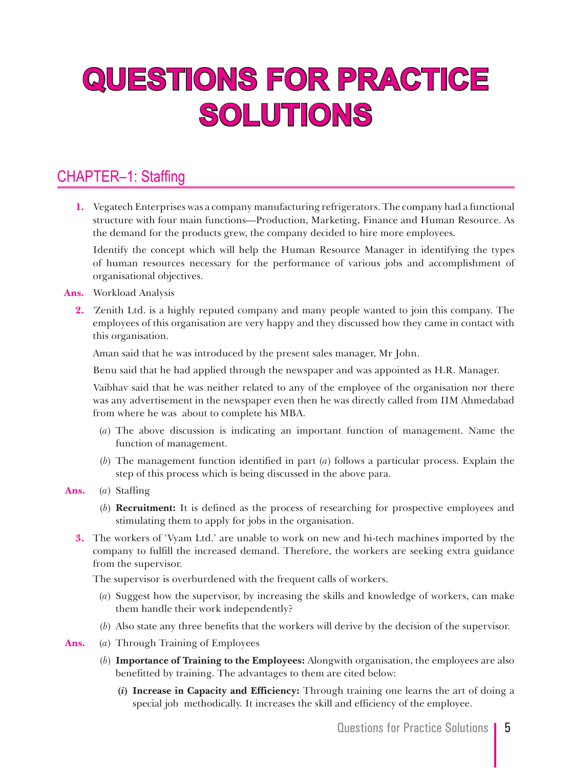# **QUESTIONS FOR PRACTICE SOLUTIONS**

# CHAPTER–1: Staffing

**1.** Vegatech Enterprises was a company manufacturing refrigerators. The company had a functional structure with four main functions—Production, Marketing, Finance and Human Resource. As the demand for the products grew, the company decided to hire more employees.

 Identify the concept which will help the Human Resource Manager in identifying the types of human resources necessary for the performance of various jobs and accomplishment of organisational objectives.

## **Ans.** Workload Analysis

**2.** *'*Zenith Ltd. is a highly reputed company and many people wanted to join this company. The employees of this organisation are very happy and they discussed how they came in contact with this organisation.

Aman said that he was introduced by the present sales manager, Mr John.

Benu said that he had applied through the newspaper and was appointed as H.R. Manager.

 Vaibhav said that he was neither related to any of the employee of the organisation nor there was any advertisement in the newspaper even then he was directly called from IIM Ahmedabad from where he was about to complete his MBA.

- (*a*) The above discussion is indicating an important function of management. Name the function of management.
- (*b*) The management function identified in part (*a*) follows a particular process. Explain the step of this process which is being discussed in the above para.
- **Ans.** (*a*) Staffing
	- (*b*) **Recruitment:** It is defined as the process of researching for prospective employees and stimulating them to apply for jobs in the organisation.
	- **3.** The workers of 'Vyam Ltd.' are unable to work on new and hi-tech machines imported by the company to fulfill the increased demand. Therefore, the workers are seeking extra guidance from the supervisor.

The supervisor is overburdened with the frequent calls of workers.

- (*a*) Suggest how the supervisor, by increasing the skills and knowledge of workers, can make them handle their work independently?
- (*b*) Also state any three benefits that the workers will derive by the decision of the supervisor.
- **Ans.** (*a*) Through Training of Employees
	- (*b*) **Importance of Training to the Employees:** Alongwith organisation, the employees are also benefitted by training. The advantages to them are cited below:
		- **(***i***) Increase in Capacity and Efficiency:** Through training one learns the art of doing a special job methodically. It increases the skill and efficiency of the employee.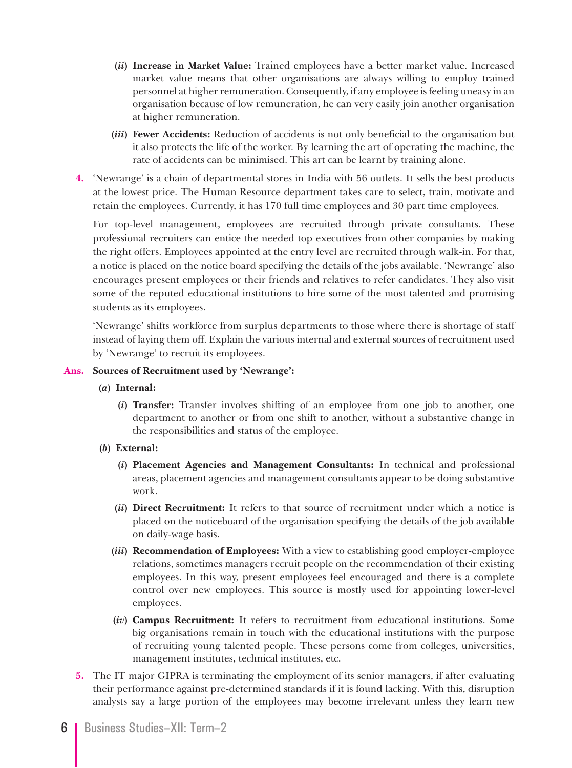- **(***ii***) Increase in Market Value:** Trained employees have a better market value. Increased market value means that other organisations are always willing to employ trained personnel at higher remuneration. Consequently, if any employee is feeling uneasy in an organisation because of low remuneration, he can very easily join another organisation at higher remuneration.
- **(***iii***) Fewer Accidents:** Reduction of accidents is not only beneficial to the organisation but it also protects the life of the worker. By learning the art of operating the machine, the rate of accidents can be minimised. This art can be learnt by training alone.
- **4.** 'Newrange' is a chain of departmental stores in India with 56 outlets. It sells the best products at the lowest price. The Human Resource department takes care to select, train, motivate and retain the employees. Currently, it has 170 full time employees and 30 part time employees.

 For top-level management, employees are recruited through private consultants. These professional recruiters can entice the needed top executives from other companies by making the right offers. Employees appointed at the entry level are recruited through walk-in. For that, a notice is placed on the notice board specifying the details of the jobs available. 'Newrange' also encourages present employees or their friends and relatives to refer candidates. They also visit some of the reputed educational institutions to hire some of the most talented and promising students as its employees.

'Newrange' shifts workforce from surplus departments to those where there is shortage of staff instead of laying them off. Explain the various internal and external sources of recruitment used by 'Newrange' to recruit its employees.

## **Ans. Sources of Recruitment used by 'Newrange':**

- **(***a***) Internal:** 
	- **(***i***) Transfer:** Transfer involves shifting of an employee from one job to another, one department to another or from one shift to another, without a substantive change in the responsibilities and status of the employee.
- **(***b***) External:** 
	- **(***i***) Placement Agencies and Management Consultants:** In technical and professional areas, placement agencies and management consultants appear to be doing substantive work.
	- **(***ii***) Direct Recruitment:** It refers to that source of recruitment under which a notice is placed on the noticeboard of the organisation specifying the details of the job available on daily-wage basis.
	- **(***iii***) Recommendation of Employees:** With a view to establishing good employer-employee relations, sometimes managers recruit people on the recommendation of their existing employees. In this way, present employees feel encouraged and there is a complete control over new employees. This source is mostly used for appointing lower-level employees.
	- **(***iv***) Campus Recruitment:** It refers to recruitment from educational institutions. Some big organisations remain in touch with the educational institutions with the purpose of recruiting young talented people. These persons come from colleges, universities, management institutes, technical institutes, etc.
- **5.** The IT major GIPRA is terminating the employment of its senior managers, if after evaluating their performance against pre-determined standards if it is found lacking. With this, disruption analysts say a large portion of the employees may become irrelevant unless they learn new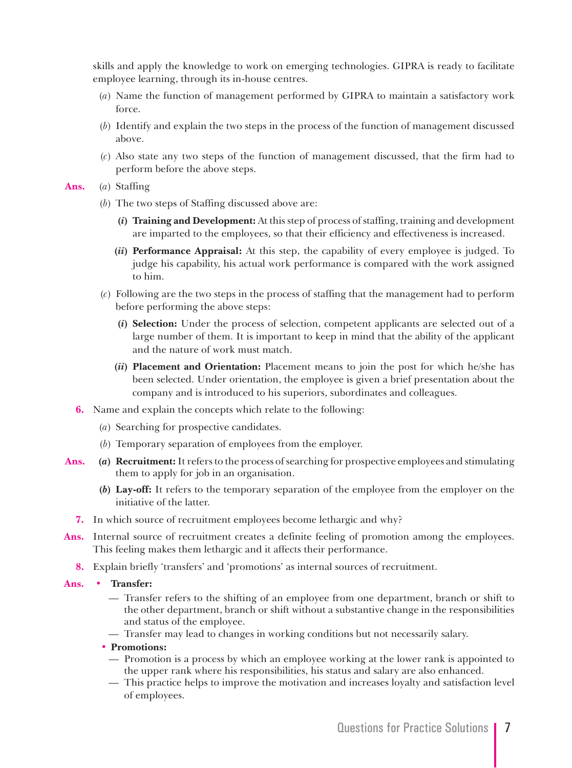skills and apply the knowledge to work on emerging technologies. GIPRA is ready to facilitate employee learning, through its in-house centres.

- (*a*) Name the function of management performed by GIPRA to maintain a satisfactory work force.
- (*b*) Identify and explain the two steps in the process of the function of management discussed above.
- (*c*) Also state any two steps of the function of management discussed, that the firm had to perform before the above steps.

#### **Ans.** (*a*) Staffing

- (*b*) The two steps of Staffing discussed above are:
	- **(***i***) Training and Development:** At this step of process of staffing, training and development are imparted to the employees, so that their efficiency and effectiveness is increased.
	- **(***ii***) Performance Appraisal:** At this step, the capability of every employee is judged. To judge his capability, his actual work performance is compared with the work assigned to him.
- (*c*) Following are the two steps in the process of staffing that the management had to perform before performing the above steps:
	- **(***i***) Selection:** Under the process of selection, competent applicants are selected out of a large number of them. It is important to keep in mind that the ability of the applicant and the nature of work must match.
	- **(***ii***) Placement and Orientation:** Placement means to join the post for which he/she has been selected. Under orientation, the employee is given a brief presentation about the company and is introduced to his superiors, subordinates and colleagues.
- **6.** Name and explain the concepts which relate to the following:
	- (*a*) Searching for prospective candidates.
	- (*b*) Temporary separation of employees from the employer.
- **Ans. (***a***) Recruitment:** It refers to the process of searching for prospective employees and stimulating them to apply for job in an organisation.
	- **(***b***) Lay-off:** It refers to the temporary separation of the employee from the employer on the initiative of the latter.
	- **7.** In which source of recruitment employees become lethargic and why?
- **Ans.** Internal source of recruitment creates a definite feeling of promotion among the employees. This feeling makes them lethargic and it affects their performance.
	- **8.** Explain briefly 'transfers' and 'promotions' as internal sources of recruitment.
- **Ans. • Transfer:**
	- Transfer refers to the shifting of an employee from one department, branch or shift to the other department, branch or shift without a substantive change in the responsibilities and status of the employee.
	- Transfer may lead to changes in working conditions but not necessarily salary.
	- **• Promotions:**
		- Promotion is a process by which an employee working at the lower rank is appointed to the upper rank where his responsibilities, his status and salary are also enhanced.
		- This practice helps to improve the motivation and increases loyalty and satisfaction level of employees.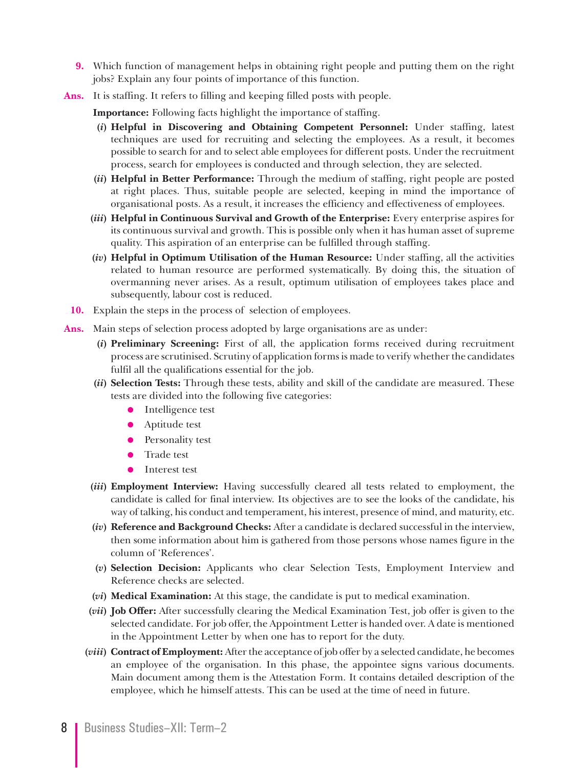- **9.** Which function of management helps in obtaining right people and putting them on the right jobs? Explain any four points of importance of this function.
- **Ans.** It is staffing. It refers to filling and keeping filled posts with people.

**Importance:** Following facts highlight the importance of staffing.

- **(***i***) Helpful in Discovering and Obtaining Competent Personnel:** Under staffing, latest techniques are used for recruiting and selecting the employees. As a result, it becomes possible to search for and to select able employees for different posts. Under the recruitment process, search for employees is conducted and through selection, they are selected.
- **(***ii***) Helpful in Better Performance:** Through the medium of staffing, right people are posted at right places. Thus, suitable people are selected, keeping in mind the importance of organisational posts. As a result, it increases the efficiency and effectiveness of employees.
- **(***iii***) Helpful in Continuous Survival and Growth of the Enterprise:** Every enterprise aspires for its continuous survival and growth. This is possible only when it has human asset of supreme quality. This aspiration of an enterprise can be fulfilled through staffing.
- **(***iv***) Helpful in Optimum Utilisation of the Human Resource:** Under staffing, all the activities related to human resource are performed systematically. By doing this, the situation of overmanning never arises. As a result, optimum utilisation of employees takes place and subsequently, labour cost is reduced.
- **10.** Explain the steps in the process of selection of employees.
- **Ans.** Main steps of selection process adopted by large organisations are as under:
	- **(***i***) Preliminary Screening:** First of all, the application forms received during recruitment process are scrutinised. Scrutiny of application forms is made to verify whether the candidates fulfil all the qualifications essential for the job.
	- **(***ii***) Selection Tests:** Through these tests, ability and skill of the candidate are measured. These tests are divided into the following five categories:
		- Intelligence test
		- Aptitude test
		- Personality test
		- **O** Trade test
		- Interest test
	- **(***iii***) Employment Interview:** Having successfully cleared all tests related to employment, the candidate is called for final interview. Its objectives are to see the looks of the candidate, his way of talking, his conduct and temperament, his interest, presence of mind, and maturity, etc.
	- **(***iv***) Reference and Background Checks:** After a candidate is declared successful in the interview, then some information about him is gathered from those persons whose names figure in the column of 'References'.
	- **(***v***) Selection Decision:** Applicants who clear Selection Tests, Employment Interview and Reference checks are selected.
	- **(***vi***) Medical Examination:** At this stage, the candidate is put to medical examination.
	- **(***vii***) Job Offer:** After successfully clearing the Medical Examination Test, job offer is given to the selected candidate. For job offer, the Appointment Letter is handed over. A date is mentioned in the Appointment Letter by when one has to report for the duty.
	- **(***viii***) Contract of Employment:** After the acceptance of job offer by a selected candidate, he becomes an employee of the organisation. In this phase, the appointee signs various documents. Main document among them is the Attestation Form. It contains detailed description of the employee, which he himself attests. This can be used at the time of need in future.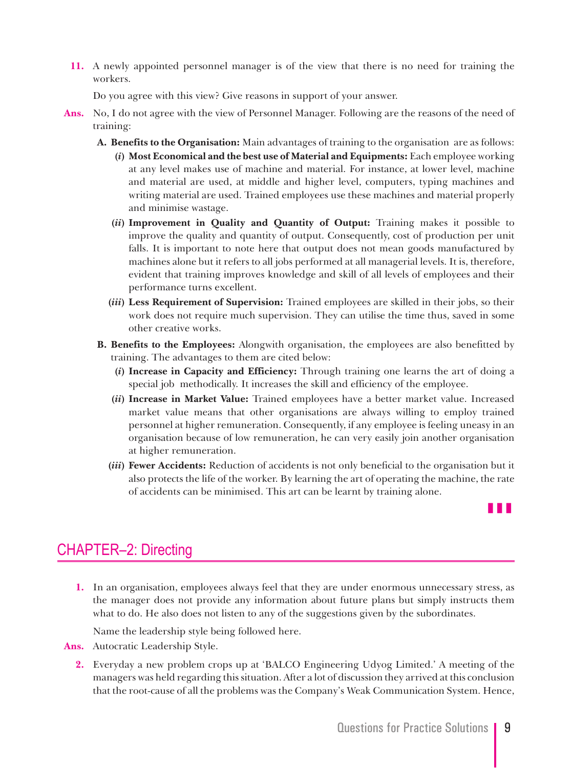**11.** A newly appointed personnel manager is of the view that there is no need for training the workers.

Do you agree with this view? Give reasons in support of your answer.

- **Ans.** No, I do not agree with the view of Personnel Manager. Following are the reasons of the need of training:
	- **A. Benefits to the Organisation:** Main advantages of training to the organisation are as follows: **(***i***) Most Economical and the best use of Material and Equipments:** Each employee working at any level makes use of machine and material. For instance, at lower level, machine and material are used, at middle and higher level, computers, typing machines and writing material are used. Trained employees use these machines and material properly and minimise wastage.
		- **(***ii***) Improvement in Quality and Quantity of Output:** Training makes it possible to improve the quality and quantity of output. Consequently, cost of production per unit falls. It is important to note here that output does not mean goods manufactured by machines alone but it refers to all jobs performed at all managerial levels. It is, therefore, evident that training improves knowledge and skill of all levels of employees and their performance turns excellent.
		- **(***iii***) Less Requirement of Supervision:** Trained employees are skilled in their jobs, so their work does not require much supervision. They can utilise the time thus, saved in some other creative works.
	- **B. Benefits to the Employees:** Alongwith organisation, the employees are also benefitted by training. The advantages to them are cited below:
		- **(***i***) Increase in Capacity and Efficiency:** Through training one learns the art of doing a special job methodically. It increases the skill and efficiency of the employee.
		- **(***ii***) Increase in Market Value:** Trained employees have a better market value. Increased market value means that other organisations are always willing to employ trained personnel at higher remuneration. Consequently, if any employee is feeling uneasy in an organisation because of low remuneration, he can very easily join another organisation at higher remuneration.
		- **(***iii***) Fewer Accidents:** Reduction of accidents is not only beneficial to the organisation but it also protects the life of the worker. By learning the art of operating the machine, the rate of accidents can be minimised. This art can be learnt by training alone.



# CHAPTER–2: Directing

**1.** In an organisation, employees always feel that they are under enormous unnecessary stress, as the manager does not provide any information about future plans but simply instructs them what to do. He also does not listen to any of the suggestions given by the subordinates.

Name the leadership style being followed here.

- **Ans.** Autocratic Leadership Style.
	- **2.** Everyday a new problem crops up at 'BALCO Engineering Udyog Limited.' A meeting of the managers was held regarding this situation. After a lot of discussion they arrived at this conclusion that the root-cause of all the problems was the Company's Weak Communication System. Hence,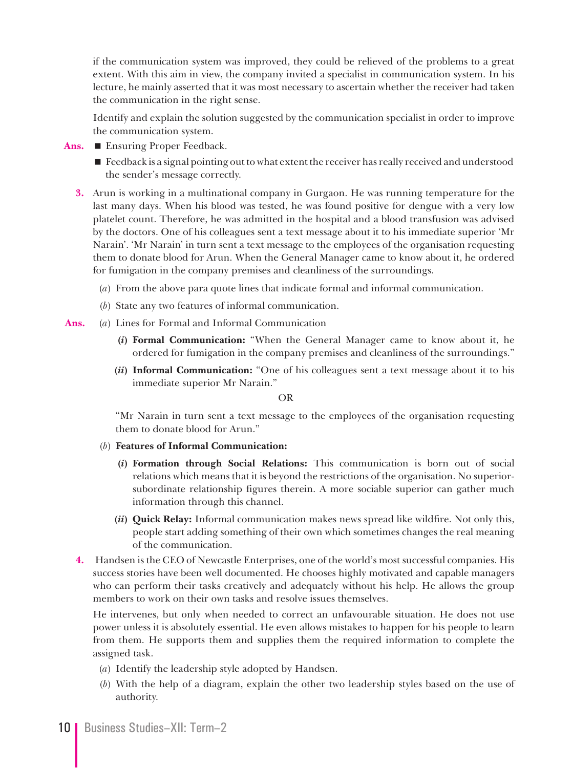if the communication system was improved, they could be relieved of the problems to a great extent. With this aim in view, the company invited a specialist in communication system. In his lecture, he mainly asserted that it was most necessary to ascertain whether the receiver had taken the communication in the right sense.

 Identify and explain the solution suggested by the communication specialist in order to improve the communication system.

- **Ans.** Ensuring Proper Feedback.
	- **Feedback is a signal pointing out to what extent the receiver has really received and understood** the sender's message correctly.
	- **3.** Arun is working in a multinational company in Gurgaon. He was running temperature for the last many days. When his blood was tested, he was found positive for dengue with a very low platelet count. Therefore, he was admitted in the hospital and a blood transfusion was advised by the doctors. One of his colleagues sent a text message about it to his immediate superior 'Mr Narain'. 'Mr Narain' in turn sent a text message to the employees of the organisation requesting them to donate blood for Arun. When the General Manager came to know about it, he ordered for fumigation in the company premises and cleanliness of the surroundings.
		- (*a*) From the above para quote lines that indicate formal and informal communication.
		- (*b*) State any two features of informal communication.
- **Ans.** (*a*) Lines for Formal and Informal Communication
	- **(***i***) Formal Communication:** "When the General Manager came to know about it, he ordered for fumigation in the company premises and cleanliness of the surroundings."
	- **(***ii***) Informal Communication:** "One of his colleagues sent a text message about it to his immediate superior Mr Narain."

OR

 "Mr Narain in turn sent a text message to the employees of the organisation requesting them to donate blood for Arun."

- (*b*) **Features of Informal Communication:**
	- **(***i***) Formation through Social Relations:** This communication is born out of social relations which means that it is beyond the restrictions of the organisation. No superiorsubordinate relationship figures therein. A more sociable superior can gather much information through this channel.
	- **(***ii***) Quick Relay:** Informal communication makes news spread like wildfire. Not only this, people start adding something of their own which sometimes changes the real meaning of the communication.
- **4.** Handsen is the CEO of Newcastle Enterprises, one of the world's most successful companies. His success stories have been well documented. He chooses highly motivated and capable managers who can perform their tasks creatively and adequately without his help. He allows the group members to work on their own tasks and resolve issues themselves.

 He intervenes, but only when needed to correct an unfavourable situation. He does not use power unless it is absolutely essential. He even allows mistakes to happen for his people to learn from them. He supports them and supplies them the required information to complete the assigned task.

- (*a*) Identify the leadership style adopted by Handsen.
- (*b*) With the help of a diagram, explain the other two leadership styles based on the use of authority.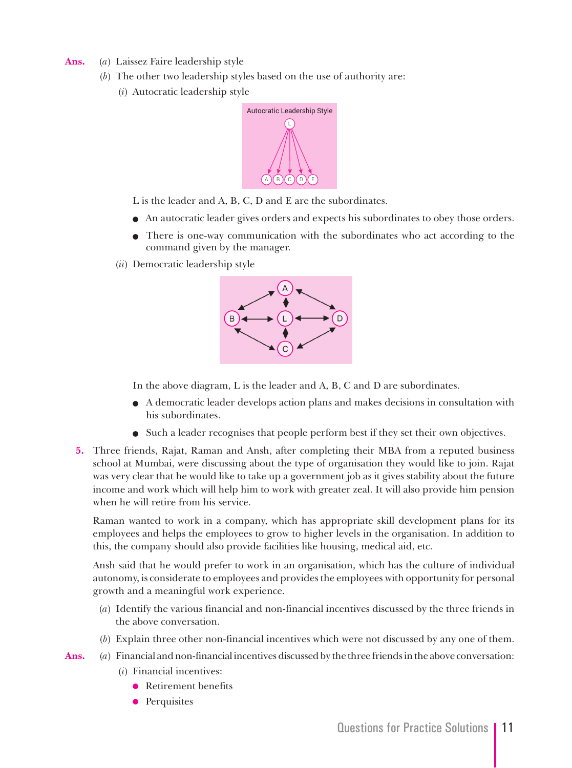- **Ans.** (*a*) Laissez Faire leadership style
	- (*b*) The other two leadership styles based on the use of authority are:
		- (*i*) Autocratic leadership style



- L is the leader and A, B, C, D and E are the subordinates.
- An autocratic leader gives orders and expects his subordinates to obey those orders.
- There is one-way communication with the subordinates who act according to the command given by the manager.
- (*ii*) Democratic leadership style



In the above diagram, L is the leader and A, B, C and D are subordinates.

- A democratic leader develops action plans and makes decisions in consultation with his subordinates.
- Such a leader recognises that people perform best if they set their own objectives.
- **5.** Three friends, Rajat, Raman and Ansh, after completing their MBA from a reputed business school at Mumbai, were discussing about the type of organisation they would like to join. Rajat was very clear that he would like to take up a government job as it gives stability about the future income and work which will help him to work with greater zeal. It will also provide him pension when he will retire from his service.

 Raman wanted to work in a company, which has appropriate skill development plans for its employees and helps the employees to grow to higher levels in the organisation. In addition to this, the company should also provide facilities like housing, medical aid, etc.

 Ansh said that he would prefer to work in an organisation, which has the culture of individual autonomy, is considerate to employees and provides the employees with opportunity for personal growth and a meaningful work experience.

- (*a*) Identify the various financial and non-financial incentives discussed by the three friends in the above conversation.
- (*b*) Explain three other non-financial incentives which were not discussed by any one of them.

**Ans.** (*a*) Financial and non-financial incentives discussed by the three friends in the above conversation:

- (*i*) Financial incentives:
	- **•** Retirement benefits
	- **•** Perquisites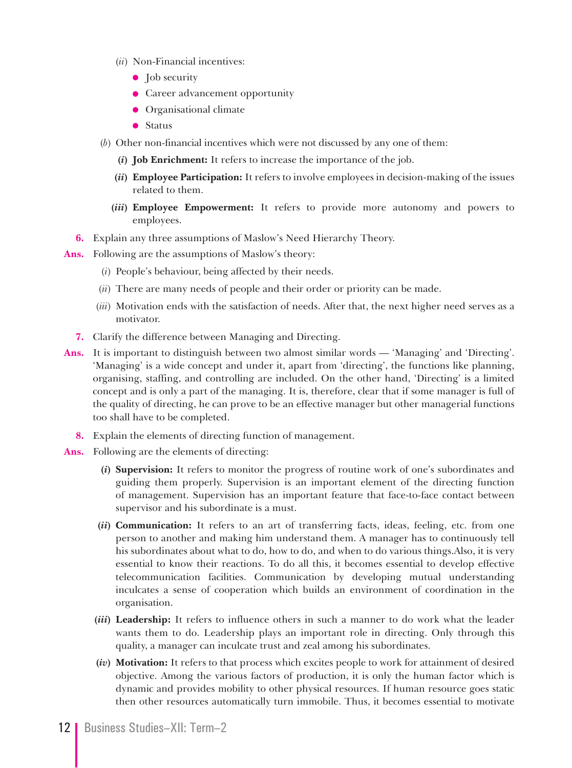- (*ii*) Non-Financial incentives:
	- $\bullet$  Job security
	- **Career advancement opportunity**
	- $\bullet$  Organisational climate
	- $\bullet$  Status
- (*b*) Other non-financial incentives which were not discussed by any one of them:
	- **(***i***) Job Enrichment:** It refers to increase the importance of the job.
	- **(***ii***) Employee Participation:** It refers to involve employees in decision-making of the issues related to them.
	- **(***iii***) Employee Empowerment:** It refers to provide more autonomy and powers to employees.
- **6.** Explain any three assumptions of Maslow's Need Hierarchy Theory.
- **Ans.** Following are the assumptions of Maslow's theory:
	- (*i*) People's behaviour, being affected by their needs.
	- (*ii*) There are many needs of people and their order or priority can be made.
	- (*iii*) Motivation ends with the satisfaction of needs. After that, the next higher need serves as a motivator.
	- **7.** Clarify the difference between Managing and Directing.
- **Ans.** It is important to distinguish between two almost similar words 'Managing' and 'Directing'. 'Managing' is a wide concept and under it, apart from 'directing', the functions like planning, organising, staffing, and controlling are included. On the other hand, 'Directing' is a limited concept and is only a part of the managing. It is, therefore, clear that if some manager is full of the quality of directing, he can prove to be an effective manager but other managerial functions too shall have to be completed.
	- **8.** Explain the elements of directing function of management.
- **Ans.** Following are the elements of directing:
	- **(***i***) Supervision:** It refers to monitor the progress of routine work of one's subordinates and guiding them properly. Supervision is an important element of the directing function of management. Supervision has an important feature that face-to-face contact between supervisor and his subordinate is a must.
	- **(***ii***) Communication:** It refers to an art of transferring facts, ideas, feeling, etc. from one person to another and making him understand them. A manager has to continuously tell his subordinates about what to do, how to do, and when to do various things.Also, it is very essential to know their reactions. To do all this, it becomes essential to develop effective telecommunication facilities. Communication by developing mutual understanding inculcates a sense of cooperation which builds an environment of coordination in the organisation.
	- **(***iii***) Leadership:** It refers to influence others in such a manner to do work what the leader wants them to do. Leadership plays an important role in directing. Only through this quality, a manager can inculcate trust and zeal among his subordinates.
	- **(***iv***) Motivation:** It refers to that process which excites people to work for attainment of desired objective. Among the various factors of production, it is only the human factor which is dynamic and provides mobility to other physical resources. If human resource goes static then other resources automatically turn immobile. Thus, it becomes essential to motivate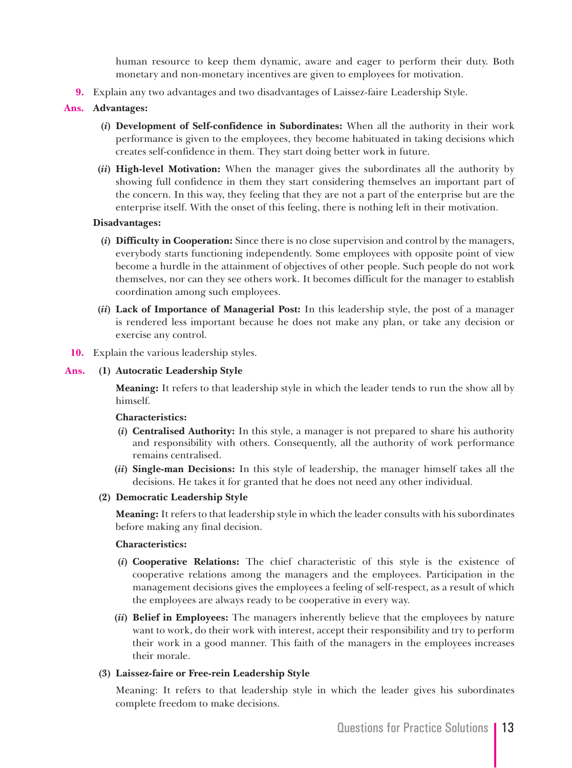human resource to keep them dynamic, aware and eager to perform their duty. Both monetary and non-monetary incentives are given to employees for motivation.

**9.** Explain any two advantages and two disadvantages of Laissez-faire Leadership Style.

## **Ans. Advantages:**

- **(***i***) Development of Self-confidence in Subordinates:** When all the authority in their work performance is given to the employees, they become habituated in taking decisions which creates self-confidence in them. They start doing better work in future.
- **(***ii***) High-level Motivation:** When the manager gives the subordinates all the authority by showing full confidence in them they start considering themselves an important part of the concern. In this way, they feeling that they are not a part of the enterprise but are the enterprise itself. With the onset of this feeling, there is nothing left in their motivation.

#### **Disadvantages:**

- **(***i***) Difficulty in Cooperation:** Since there is no close supervision and control by the managers, everybody starts functioning independently. Some employees with opposite point of view become a hurdle in the attainment of objectives of other people. Such people do not work themselves, nor can they see others work. It becomes difficult for the manager to establish coordination among such employees.
- **(***ii***) Lack of Importance of Managerial Post:** In this leadership style, the post of a manager is rendered less important because he does not make any plan, or take any decision or exercise any control.
- **10.** Explain the various leadership styles.

## **Ans. (1) Autocratic Leadership Style**

 **Meaning:** It refers to that leadership style in which the leader tends to run the show all by himself.

#### **Characteristics:**

- **(***i***) Centralised Authority:** In this style, a manager is not prepared to share his authority and responsibility with others. Consequently, all the authority of work performance remains centralised.
- **(***ii***) Single-man Decisions:** In this style of leadership, the manager himself takes all the decisions. He takes it for granted that he does not need any other individual.
- **(2) Democratic Leadership Style**

 **Meaning:** It refers to that leadership style in which the leader consults with his subordinates before making any final decision.

#### **Characteristics:**

- **(***i***) Cooperative Relations:** The chief characteristic of this style is the existence of cooperative relations among the managers and the employees. Participation in the management decisions gives the employees a feeling of self-respect, as a result of which the employees are always ready to be cooperative in every way.
- **(***ii***) Belief in Employees:** The managers inherently believe that the employees by nature want to work, do their work with interest, accept their responsibility and try to perform their work in a good manner. This faith of the managers in the employees increases their morale.

## **(3) Laissez-faire or Free-rein Leadership Style**

 Meaning: It refers to that leadership style in which the leader gives his subordinates complete freedom to make decisions.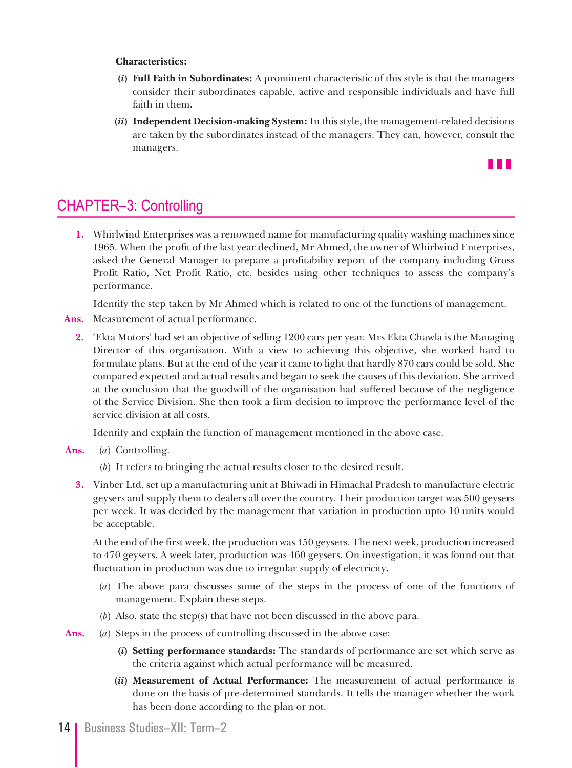## **Characteristics:**

- **(***i***) Full Faith in Subordinates:** A prominent characteristic of this style is that the managers consider their subordinates capable, active and responsible individuals and have full faith in them.
- **(***ii***) Independent Decision-making System:** In this style, the management-related decisions are taken by the subordinates instead of the managers. They can, however, consult the managers.



# CHAPTER–3: Controlling

**1.** Whirlwind Enterprises was a renowned name for manufacturing quality washing machines since 1965. When the profit of the last year declined, Mr Ahmed, the owner of Whirlwind Enterprises, asked the General Manager to prepare a profitability report of the company including Gross Profit Ratio, Net Profit Ratio, etc. besides using other techniques to assess the company's performance.

Identify the step taken by Mr Ahmed which is related to one of the functions of management.

- **Ans.** Measurement of actual performance.
	- **2.** 'Ekta Motors' had set an objective of selling 1200 cars per year. Mrs Ekta Chawla is the Managing Director of this organisation. With a view to achieving this objective, she worked hard to formulate plans. But at the end of the year it came to light that hardly 870 cars could be sold. She compared expected and actual results and began to seek the causes of this deviation. She arrived at the conclusion that the goodwill of the organisation had suffered because of the negligence of the Service Division. She then took a firm decision to improve the performance level of the service division at all costs.

Identify and explain the function of management mentioned in the above case.

- **Ans.** (*a*) Controlling.
	- (*b*) It refers to bringing the actual results closer to the desired result.
	- **3.** Vinber Ltd. set up a manufacturing unit at Bhiwadi in Himachal Pradesh to manufacture electric geysers and supply them to dealers all over the country. Their production target was 500 geysers per week. It was decided by the management that variation in production upto 10 units would be acceptable.

 At the end of the first week, the production was 450 geysers. The next week, production increased to 470 geysers. A week later, production was 460 geysers. On investigation, it was found out that fluctuation in production was due to irregular supply of electricity**.**

- (*a*) The above para discusses some of the steps in the process of one of the functions of management. Explain these steps.
- (*b*) Also, state the step(s) that have not been discussed in the above para.

**Ans.** (*a*) Steps in the process of controlling discussed in the above case:

- **(***i***) Setting performance standards:** The standards of performance are set which serve as the criteria against which actual performance will be measured.
- **(***ii***) Measurement of Actual Performance:** The measurement of actual performance is done on the basis of pre-determined standards. It tells the manager whether the work has been done according to the plan or not.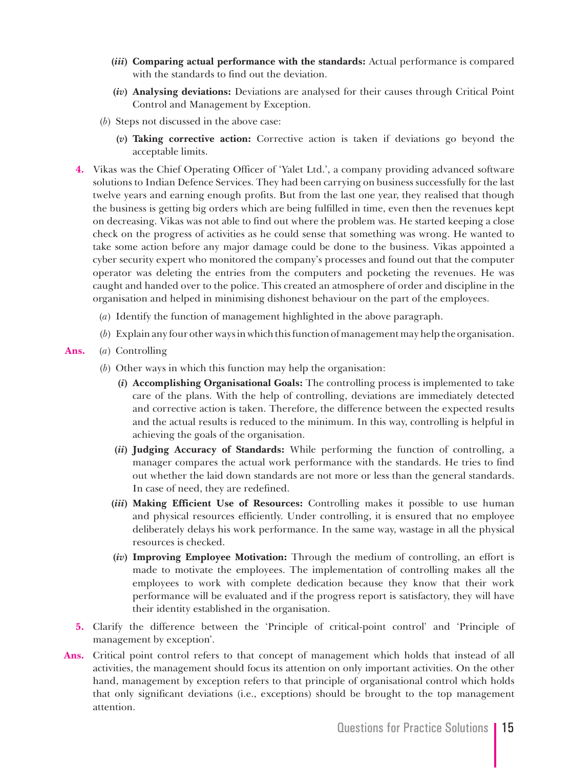- **(***iii***) Comparing actual performance with the standards:** Actual performance is compared with the standards to find out the deviation.
- **(***iv***) Analysing deviations:** Deviations are analysed for their causes through Critical Point Control and Management by Exception.
- (*b*) Steps not discussed in the above case:
	- **(***v***) Taking corrective action:** Corrective action is taken if deviations go beyond the acceptable limits.
- **4.** Vikas was the Chief Operating Officer of 'Yalet Ltd.', a company providing advanced software solutions to Indian Defence Services. They had been carrying on business successfully for the last twelve years and earning enough profits. But from the last one year, they realised that though the business is getting big orders which are being fulfilled in time, even then the revenues kept on decreasing. Vikas was not able to find out where the problem was. He started keeping a close check on the progress of activities as he could sense that something was wrong. He wanted to take some action before any major damage could be done to the business. Vikas appointed a cyber security expert who monitored the company's processes and found out that the computer operator was deleting the entries from the computers and pocketing the revenues. He was caught and handed over to the police. This created an atmosphere of order and discipline in the organisation and helped in minimising dishonest behaviour on the part of the employees.
	- (*a*) Identify the function of management highlighted in the above paragraph.
	- (*b*) Explain any four other ways in which this function of management may help the organisation.
- **Ans.** (*a*) Controlling
	- (*b*) Other ways in which this function may help the organisation:
		- **(***i***) Accomplishing Organisational Goals:** The controlling process is implemented to take care of the plans. With the help of controlling, deviations are immediately detected and corrective action is taken. Therefore, the difference between the expected results and the actual results is reduced to the minimum. In this way, controlling is helpful in achieving the goals of the organisation.
		- **(***ii***) Judging Accuracy of Standards:** While performing the function of controlling, a manager compares the actual work performance with the standards. He tries to find out whether the laid down standards are not more or less than the general standards. In case of need, they are redefined.
		- **(***iii***) Making Efficient Use of Resources:** Controlling makes it possible to use human and physical resources efficiently. Under controlling, it is ensured that no employee deliberately delays his work performance. In the same way, wastage in all the physical resources is checked.
		- **(***iv***) Improving Employee Motivation:** Through the medium of controlling, an effort is made to motivate the employees. The implementation of controlling makes all the employees to work with complete dedication because they know that their work performance will be evaluated and if the progress report is satisfactory, they will have their identity established in the organisation.
	- **5.** Clarify the difference between the 'Principle of critical-point control' and 'Principle of management by exception'.
- **Ans.** Critical point control refers to that concept of management which holds that instead of all activities, the management should focus its attention on only important activities. On the other hand, management by exception refers to that principle of organisational control which holds that only significant deviations (i.e., exceptions) should be brought to the top management attention.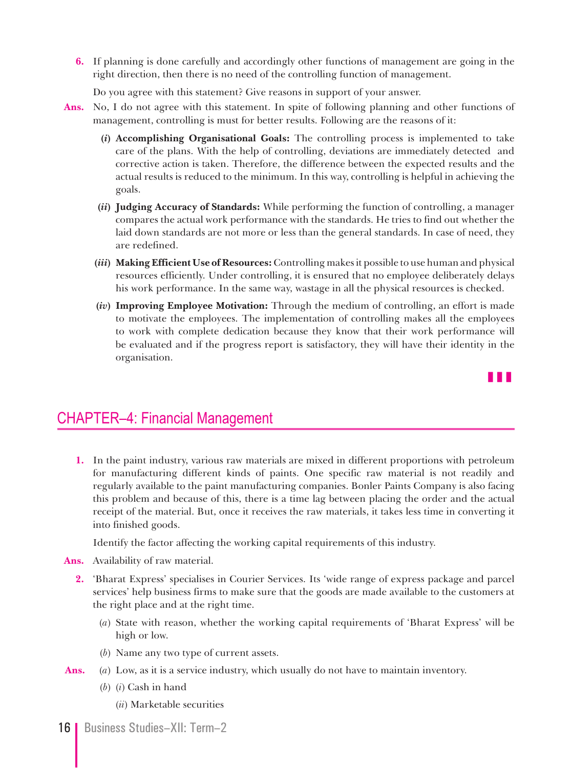**6.** If planning is done carefully and accordingly other functions of management are going in the right direction, then there is no need of the controlling function of management.

Do you agree with this statement? Give reasons in support of your answer.

- **Ans.** No, I do not agree with this statement. In spite of following planning and other functions of management, controlling is must for better results. Following are the reasons of it:
	- **(***i***) Accomplishing Organisational Goals:** The controlling process is implemented to take care of the plans. With the help of controlling, deviations are immediately detected and corrective action is taken. Therefore, the difference between the expected results and the actual results is reduced to the minimum. In this way, controlling is helpful in achieving the goals.
	- **(***ii***) Judging Accuracy of Standards:** While performing the function of controlling, a manager compares the actual work performance with the standards. He tries to find out whether the laid down standards are not more or less than the general standards. In case of need, they are redefined.
	- **(***iii***) Making Efficient Use of Resources:** Controlling makes it possible to use human and physical resources efficiently. Under controlling, it is ensured that no employee deliberately delays his work performance. In the same way, wastage in all the physical resources is checked.
	- **(***iv***) Improving Employee Motivation:** Through the medium of controlling, an effort is made to motivate the employees. The implementation of controlling makes all the employees to work with complete dedication because they know that their work performance will be evaluated and if the progress report is satisfactory, they will have their identity in the organisation.



# CHAPTER–4: Financial Management

**1.** In the paint industry, various raw materials are mixed in different proportions with petroleum for manufacturing different kinds of paints. One specific raw material is not readily and regularly available to the paint manufacturing companies. Bonler Paints Company is also facing this problem and because of this, there is a time lag between placing the order and the actual receipt of the material. But, once it receives the raw materials, it takes less time in converting it into finished goods.

Identify the factor affecting the working capital requirements of this industry.

- **Ans.** Availability of raw material.
	- **2.** 'Bharat Express' specialises in Courier Services. Its 'wide range of express package and parcel services' help business firms to make sure that the goods are made available to the customers at the right place and at the right time.
		- (*a*) State with reason, whether the working capital requirements of 'Bharat Express' will be high or low.
		- (*b*) Name any two type of current assets.
- **Ans.** (*a*) Low, as it is a service industry, which usually do not have to maintain inventory.
	- (*b*) (*i*) Cash in hand
		- (*ii*) Marketable securities
- 16 | Business Studies–XII: Term–2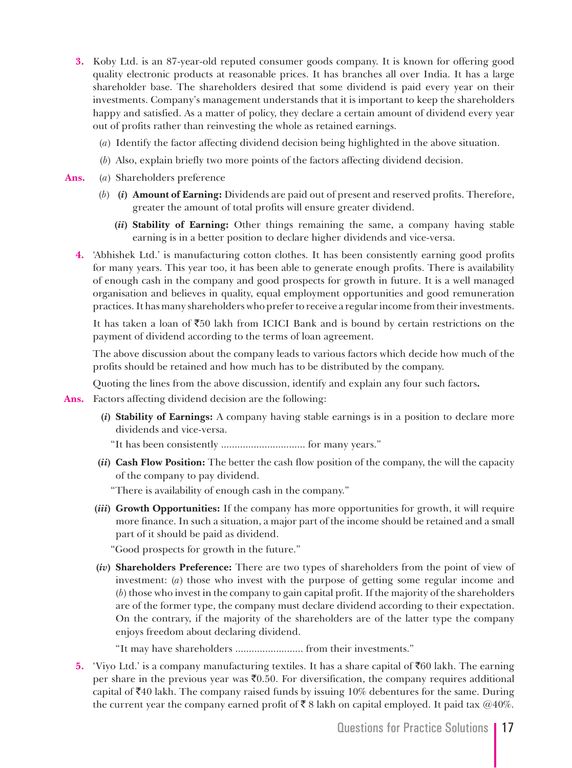- **3.** Koby Ltd. is an 87-year-old reputed consumer goods company. It is known for offering good quality electronic products at reasonable prices. It has branches all over India. It has a large shareholder base. The shareholders desired that some dividend is paid every year on their investments. Company's management understands that it is important to keep the shareholders happy and satisfied. As a matter of policy, they declare a certain amount of dividend every year out of profits rather than reinvesting the whole as retained earnings.
	- (*a*) Identify the factor affecting dividend decision being highlighted in the above situation.
	- (*b*) Also, explain briefly two more points of the factors affecting dividend decision.
- **Ans.** (*a*) Shareholders preference
	- (*b*) **(***i***) Amount of Earning:** Dividends are paid out of present and reserved profits. Therefore, greater the amount of total profits will ensure greater dividend.
		- **(***ii***) Stability of Earning:** Other things remaining the same, a company having stable earning is in a better position to declare higher dividends and vice-versa.
	- **4.** 'Abhishek Ltd.' is manufacturing cotton clothes. It has been consistently earning good profits for many years. This year too, it has been able to generate enough profits. There is availability of enough cash in the company and good prospects for growth in future. It is a well managed organisation and believes in quality, equal employment opportunities and good remuneration practices. It has many shareholders who prefer to receive a regular income from their investments.

It has taken a loan of  $\overline{50}$  lakh from ICICI Bank and is bound by certain restrictions on the payment of dividend according to the terms of loan agreement.

The above discussion about the company leads to various factors which decide how much of the profits should be retained and how much has to be distributed by the company.

Quoting the lines from the above discussion, identify and explain any four such factors**.**

**Ans.** Factors affecting dividend decision are the following:

- **(***i***) Stability of Earnings:** A company having stable earnings is in a position to declare more dividends and vice-versa.
	- "It has been consistently ............................... for many years."
- **(***ii***) Cash Flow Position:** The better the cash flow position of the company, the will the capacity of the company to pay dividend.

"There is availability of enough cash in the company."

**(***iii***) Growth Opportunities:** If the company has more opportunities for growth, it will require more finance. In such a situation, a major part of the income should be retained and a small part of it should be paid as dividend.

"Good prospects for growth in the future."

**(***iv***) Shareholders Preference:** There are two types of shareholders from the point of view of investment: (*a*) those who invest with the purpose of getting some regular income and (*b*) those who invest in the company to gain capital profit. If the majority of the shareholders are of the former type, the company must declare dividend according to their expectation. On the contrary, if the majority of the shareholders are of the latter type the company enjoys freedom about declaring dividend.

"It may have shareholders ......................... from their investments."

**5.** 'Viyo Ltd.' is a company manufacturing textiles. It has a share capital of  $\bar{c}$ 60 lakh. The earning per share in the previous year was  $\bar{c}$ 0.50. For diversification, the company requires additional capital of  $\bar{z}40$  lakh. The company raised funds by issuing 10% debentures for the same. During the current year the company earned profit of  $\bar{\xi}$  8 lakh on capital employed. It paid tax @40%.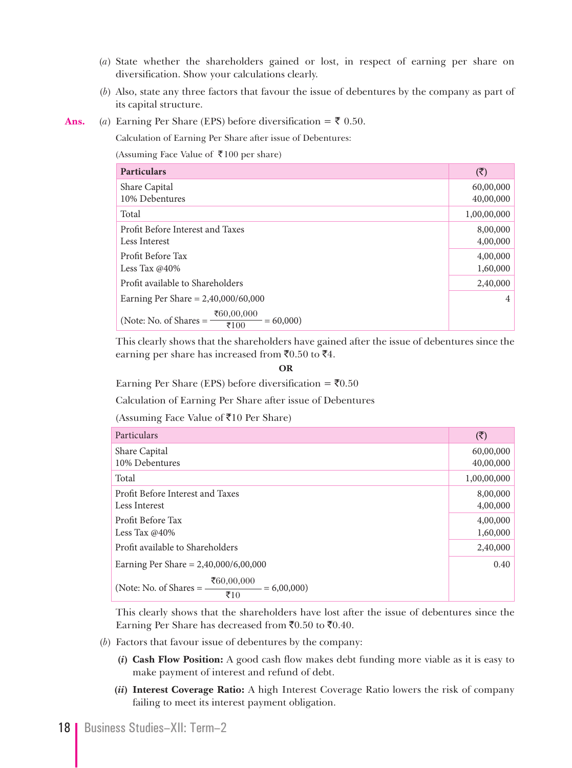- (*a*) State whether the shareholders gained or lost, in respect of earning per share on diversification. Show your calculations clearly.
- (*b*) Also, state any three factors that favour the issue of debentures by the company as part of its capital structure.
- Ans. (*a*) Earning Per Share (EPS) before diversification =  $\bar{\tau}$  0.50.

Calculation of Earning Per Share after issue of Debentures:

(Assuming Face Value of ₹100 per share)

| <b>Particulars</b>                                                | $(\overline{\mathbf{z}})$ |
|-------------------------------------------------------------------|---------------------------|
| Share Capital                                                     | 60,00,000                 |
| 10% Debentures                                                    | 40,00,000                 |
| Total                                                             | 1,00,00,000               |
| Profit Before Interest and Taxes                                  | 8,00,000                  |
| Less Interest                                                     | 4,00,000                  |
| Profit Before Tax                                                 | 4,00,000                  |
| Less Tax $@40\%$                                                  | 1,60,000                  |
| Profit available to Shareholders                                  | 2,40,000                  |
| Earning Per Share = $2,40,000/60,000$                             | $\overline{4}$            |
| ₹60,00,000<br>(Note: No. of Shares $=$ -<br>$= 60,000$<br>₹ $100$ |                           |

 This clearly shows that the shareholders have gained after the issue of debentures since the earning per share has increased from  $\bar{x}$ 0.50 to  $\bar{x}$ 4.

#### **OR**

**Earning Per Share (EPS) before diversification =**  $\bar{x}$ **0.50** 

Calculation of Earning Per Share after issue of Debentures

(Assuming Face Value of  $\overline{5}10$  Per Share)

| Particulars                                                                  | $(\overline{\mathbf{z}})$ |
|------------------------------------------------------------------------------|---------------------------|
| Share Capital                                                                | 60,00,000                 |
| 10% Debentures                                                               | 40,00,000                 |
| Total                                                                        | 1,00,00,000               |
| Profit Before Interest and Taxes                                             | 8,00,000                  |
| Less Interest                                                                | 4,00,000                  |
| Profit Before Tax                                                            | 4,00,000                  |
| Less Tax $@40\%$                                                             | 1,60,000                  |
| Profit available to Shareholders                                             | 2,40,000                  |
| Earning Per Share = $2,40,000/6,00,000$                                      | 0.40                      |
| ₹60,00,000<br>(Note: No. of Shares $=$ -<br>$= 6,00,000$<br>$\overline{510}$ |                           |

 This clearly shows that the shareholders have lost after the issue of debentures since the Earning Per Share has decreased from  $\bar{c}0.50$  to  $\bar{c}0.40$ .

- (*b*) Factors that favour issue of debentures by the company:
	- **(***i***) Cash Flow Position:** A good cash flow makes debt funding more viable as it is easy to make payment of interest and refund of debt.
	- **(***ii***) Interest Coverage Ratio:** A high Interest Coverage Ratio lowers the risk of company failing to meet its interest payment obligation.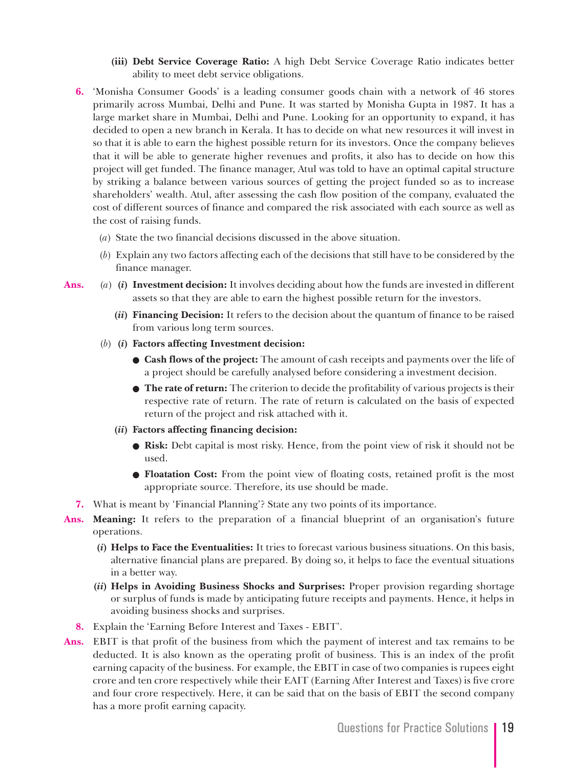- **(iii) Debt Service Coverage Ratio:** A high Debt Service Coverage Ratio indicates better ability to meet debt service obligations.
- **6.** 'Monisha Consumer Goods' is a leading consumer goods chain with a network of 46 stores primarily across Mumbai, Delhi and Pune. It was started by Monisha Gupta in 1987. It has a large market share in Mumbai, Delhi and Pune. Looking for an opportunity to expand, it has decided to open a new branch in Kerala. It has to decide on what new resources it will invest in so that it is able to earn the highest possible return for its investors. Once the company believes that it will be able to generate higher revenues and profits, it also has to decide on how this project will get funded. The finance manager, Atul was told to have an optimal capital structure by striking a balance between various sources of getting the project funded so as to increase shareholders' wealth. Atul, after assessing the cash flow position of the company, evaluated the cost of different sources of finance and compared the risk associated with each source as well as the cost of raising funds.
	- (*a*) State the two financial decisions discussed in the above situation.
	- (*b*) Explain any two factors affecting each of the decisions that still have to be considered by the finance manager.
- **Ans.** (*a*) **(***i***) Investment decision:** It involves deciding about how the funds are invested in different assets so that they are able to earn the highest possible return for the investors.
	- **(***ii***) Financing Decision:** It refers to the decision about the quantum of finance to be raised from various long term sources.
	- (*b*) **(***i***) Factors affecting Investment decision:**
		- **Cash flows of the project:** The amount of cash receipts and payments over the life of a project should be carefully analysed before considering a investment decision.
		- **The rate of return:** The criterion to decide the profitability of various projects is their respective rate of return. The rate of return is calculated on the basis of expected return of the project and risk attached with it.
		- **(***ii***) Factors affecting financing decision:**
			- **Risk:** Debt capital is most risky. Hence, from the point view of risk it should not be used.
			- **Floatation Cost:** From the point view of floating costs, retained profit is the most appropriate source. Therefore, its use should be made.
	- **7.** What is meant by 'Financial Planning'? State any two points of its importance.
- **Ans. Meaning:** It refers to the preparation of a financial blueprint of an organisation's future operations.
	- **(***i***) Helps to Face the Eventualities:** It tries to forecast various business situations. On this basis, alternative financial plans are prepared. By doing so, it helps to face the eventual situations in a better way.
	- **(***ii***) Helps in Avoiding Business Shocks and Surprises:** Proper provision regarding shortage or surplus of funds is made by anticipating future receipts and payments. Hence, it helps in avoiding business shocks and surprises.
	- **8.** Explain the 'Earning Before Interest and Taxes EBIT'.
- Ans. EBIT is that profit of the business from which the payment of interest and tax remains to be deducted. It is also known as the operating profit of business. This is an index of the profit earning capacity of the business. For example, the EBIT in case of two companies is rupees eight crore and ten crore respectively while their EAIT (Earning After Interest and Taxes) is five crore and four crore respectively. Here, it can be said that on the basis of EBIT the second company has a more profit earning capacity.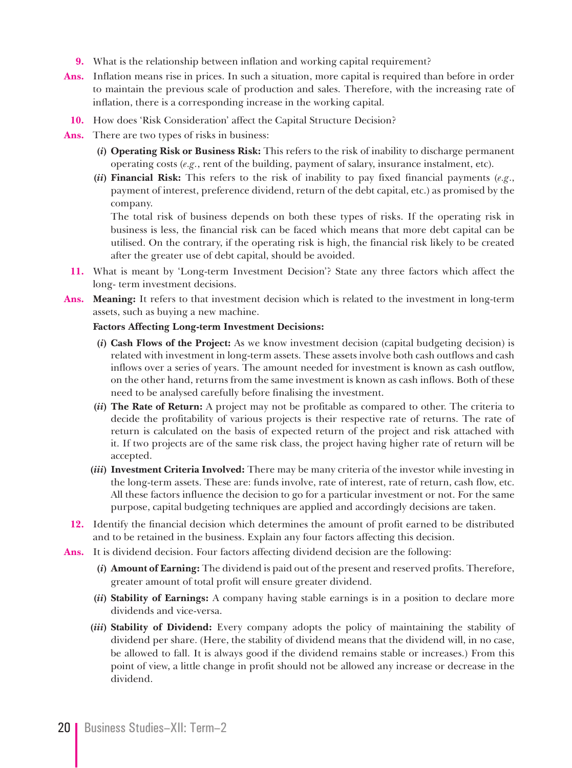- **9.** What is the relationship between inflation and working capital requirement?
- **Ans.** Inflation means rise in prices. In such a situation, more capital is required than before in order to maintain the previous scale of production and sales. Therefore, with the increasing rate of inflation, there is a corresponding increase in the working capital.
	- **10.** How does 'Risk Consideration' affect the Capital Structure Decision?
- **Ans.** There are two types of risks in business:
	- **(***i***) Operating Risk or Business Risk:** This refers to the risk of inability to discharge permanent operating costs (*e.g.*, rent of the building, payment of salary, insurance instalment, etc).
	- **(***ii***) Financial Risk:** This refers to the risk of inability to pay fixed financial payments (*e.g*., payment of interest, preference dividend, return of the debt capital, etc.) as promised by the company.

 The total risk of business depends on both these types of risks. If the operating risk in business is less, the financial risk can be faced which means that more debt capital can be utilised. On the contrary, if the operating risk is high, the financial risk likely to be created after the greater use of debt capital, should be avoided.

- **11.** What is meant by 'Long-term Investment Decision'? State any three factors which affect the long- term investment decisions.
- **Ans. Meaning:** It refers to that investment decision which is related to the investment in long-term assets, such as buying a new machine.

#### **Factors Affecting Long-term Investment Decisions:**

- **(***i***) Cash Flows of the Project:** As we know investment decision (capital budgeting decision) is related with investment in long-term assets. These assets involve both cash outflows and cash inflows over a series of years. The amount needed for investment is known as cash outflow, on the other hand, returns from the same investment is known as cash inflows. Both of these need to be analysed carefully before finalising the investment.
- **(***ii***) The Rate of Return:** A project may not be profitable as compared to other. The criteria to decide the profitability of various projects is their respective rate of returns. The rate of return is calculated on the basis of expected return of the project and risk attached with it. If two projects are of the same risk class, the project having higher rate of return will be accepted.
- **(***iii***) Investment Criteria Involved:** There may be many criteria of the investor while investing in the long-term assets. These are: funds involve, rate of interest, rate of return, cash flow, etc. All these factors influence the decision to go for a particular investment or not. For the same purpose, capital budgeting techniques are applied and accordingly decisions are taken.
- **12.** Identify the financial decision which determines the amount of profit earned to be distributed and to be retained in the business. Explain any four factors affecting this decision.
- **Ans.** It is dividend decision. Four factors affecting dividend decision are the following:
	- **(***i***) Amount of Earning:** The dividend is paid out of the present and reserved profits. Therefore, greater amount of total profit will ensure greater dividend.
	- **(***ii***) Stability of Earnings:** A company having stable earnings is in a position to declare more dividends and vice-versa.
	- **(***iii***) Stability of Dividend:** Every company adopts the policy of maintaining the stability of dividend per share. (Here, the stability of dividend means that the dividend will, in no case, be allowed to fall. It is always good if the dividend remains stable or increases.) From this point of view, a little change in profit should not be allowed any increase or decrease in the dividend.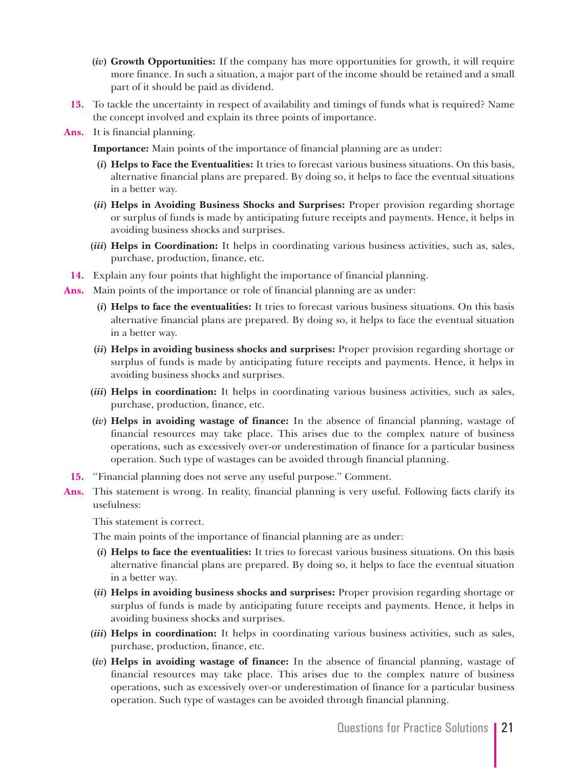- **(***iv***) Growth Opportunities:** If the company has more opportunities for growth, it will require more finance. In such a situation, a major part of the income should be retained and a small part of it should be paid as dividend.
- **13.** To tackle the uncertainty in respect of availability and timings of funds what is required? Name the concept involved and explain its three points of importance.
- **Ans.** It is financial planning.

**Importance:** Main points of the importance of financial planning are as under:

- **(***i***) Helps to Face the Eventualities:** It tries to forecast various business situations. On this basis, alternative financial plans are prepared. By doing so, it helps to face the eventual situations in a better way.
- **(***ii***) Helps in Avoiding Business Shocks and Surprises:** Proper provision regarding shortage or surplus of funds is made by anticipating future receipts and payments. Hence, it helps in avoiding business shocks and surprises.
- **(***iii***) Helps in Coordination:** It helps in coordinating various business activities, such as, sales, purchase, production, finance, etc.
- **14.** Explain any four points that highlight the importance of financial planning.
- **Ans.** Main points of the importance or role of financial planning are as under:
	- **(***i***) Helps to face the eventualities:** It tries to forecast various business situations. On this basis alternative financial plans are prepared. By doing so, it helps to face the eventual situation in a better way.
	- **(***ii***) Helps in avoiding business shocks and surprises:** Proper provision regarding shortage or surplus of funds is made by anticipating future receipts and payments. Hence, it helps in avoiding business shocks and surprises.
	- **(***iii***) Helps in coordination:** It helps in coordinating various business activities, such as sales, purchase, production, finance, etc.
	- **(***iv***) Helps in avoiding wastage of finance:** In the absence of financial planning, wastage of financial resources may take place. This arises due to the complex nature of business operations, such as excessively over-or underestimation of finance for a particular business operation. Such type of wastages can be avoided through financial planning.
- **15.** ''Financial planning does not serve any useful purpose.'' Comment.
- **Ans.** This statement is wrong. In reality, financial planning is very useful. Following facts clarify its usefulness:

This statement is correct.

The main points of the importance of financial planning are as under:

- **(***i***) Helps to face the eventualities:** It tries to forecast various business situations. On this basis alternative financial plans are prepared. By doing so, it helps to face the eventual situation in a better way.
- **(***ii***) Helps in avoiding business shocks and surprises:** Proper provision regarding shortage or surplus of funds is made by anticipating future receipts and payments. Hence, it helps in avoiding business shocks and surprises.
- **(***iii***) Helps in coordination:** It helps in coordinating various business activities, such as sales, purchase, production, finance, etc.
- **(***iv***) Helps in avoiding wastage of finance:** In the absence of financial planning, wastage of financial resources may take place. This arises due to the complex nature of business operations, such as excessively over-or underestimation of finance for a particular business operation. Such type of wastages can be avoided through financial planning.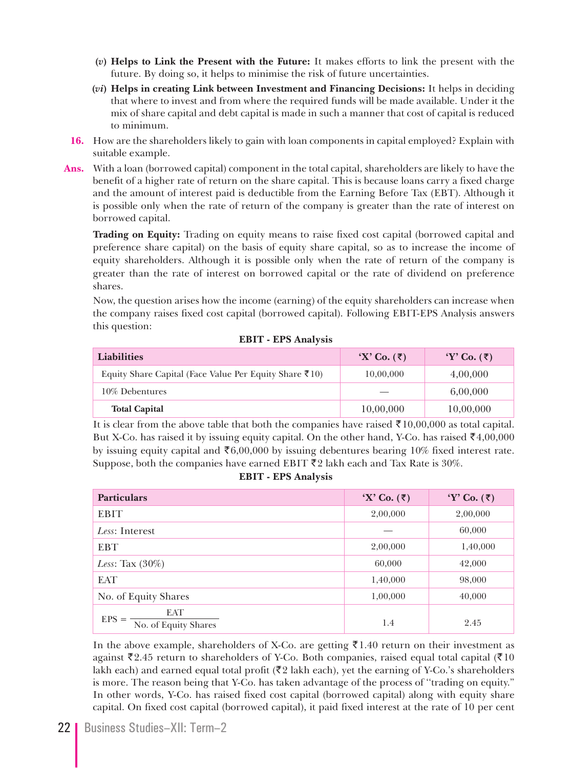- **(***v***) Helps to Link the Present with the Future:** It makes efforts to link the present with the future. By doing so, it helps to minimise the risk of future uncertainties.
- **(***vi***) Helps in creating Link between Investment and Financing Decisions:** It helps in deciding that where to invest and from where the required funds will be made available. Under it the mix of share capital and debt capital is made in such a manner that cost of capital is reduced to minimum.
- **16.** How are the shareholders likely to gain with loan components in capital employed? Explain with suitable example.
- **Ans.** With a loan (borrowed capital) component in the total capital, shareholders are likely to have the benefit of a higher rate of return on the share capital. This is because loans carry a fixed charge and the amount of interest paid is deductible from the Earning Before Tax (EBT). Although it is possible only when the rate of return of the company is greater than the rate of interest on borrowed capital.

 **Trading on Equity:** Trading on equity means to raise fixed cost capital (borrowed capital and preference share capital) on the basis of equity share capital, so as to increase the income of equity shareholders. Although it is possible only when the rate of return of the company is greater than the rate of interest on borrowed capital or the rate of dividend on preference shares.

 Now, the question arises how the income (earning) of the equity shareholders can increase when the company raises fixed cost capital (borrowed capital). Following EBIT-EPS Analysis answers this question:

| <b>Liabilities</b>                                                         | $\mathbf{X}'$ Co. $(\mathbf{\bar{z}})$ | $Y'$ Co. $(\bar{\tau})$ |
|----------------------------------------------------------------------------|----------------------------------------|-------------------------|
| Equity Share Capital (Face Value Per Equity Share $\bar{\mathfrak{e}}$ 10) | 10,00,000                              | 4,00,000                |
| 10% Debentures                                                             |                                        | 6.00.000                |
| <b>Total Capital</b>                                                       | 10,00,000                              | 10,00,000               |

**EBIT - EPS Analysis**

It is clear from the above table that both the companies have raised ₹10,00,000 as total capital. But X-Co. has raised it by issuing equity capital. On the other hand, Y-Co. has raised  $\bar{e}4,00,000$ by issuing equity capital and  $\mathfrak{F}6,00,000$  by issuing debentures bearing 10% fixed interest rate. Suppose, both the companies have earned EBIT  $\bar{\xi}2$  lakh each and Tax Rate is 30%.

**EBIT - EPS Analysis**

| <b>Particulars</b>                            | $\mathbf{X}'$ Co. $(\overline{\mathbf{z}})$ | $Y'$ Co. $(\bar{\tau})$ |
|-----------------------------------------------|---------------------------------------------|-------------------------|
| <b>EBIT</b>                                   | 2,00,000                                    | 2,00,000                |
| Less: Interest                                |                                             | 60,000                  |
| <b>EBT</b>                                    | 2,00,000                                    | 1,40,000                |
| Less: Tax $(30\%)$                            | 60,000                                      | 42,000                  |
| EAT                                           | 1,40,000                                    | 98,000                  |
| No. of Equity Shares                          | 1,00,000                                    | 40,000                  |
| <b>EAT</b><br>$EPS =$<br>No. of Equity Shares | 1.4                                         | 2.45                    |

In the above example, shareholders of X-Co. are getting ₹1.40 return on their investment as against ₹2.45 return to shareholders of Y-Co. Both companies, raised equal total capital (₹10 lakh each) and earned equal total profit ( $\overline{\xi}2$  lakh each), yet the earning of Y-Co.'s shareholders is more. The reason being that Y-Co. has taken advantage of the process of ''trading on equity." In other words, Y-Co. has raised fixed cost capital (borrowed capital) along with equity share capital. On fixed cost capital (borrowed capital), it paid fixed interest at the rate of 10 per cent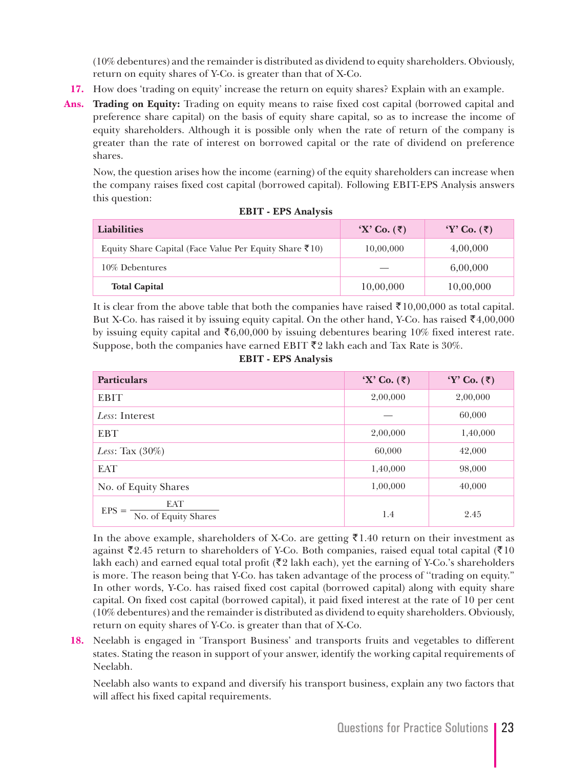(10% debentures) and the remainder is distributed as dividend to equity shareholders. Obviously, return on equity shares of Y-Co. is greater than that of X-Co.

- **17.** How does 'trading on equity' increase the return on equity shares? Explain with an example.
- **Ans. Trading on Equity:** Trading on equity means to raise fixed cost capital (borrowed capital and preference share capital) on the basis of equity share capital, so as to increase the income of equity shareholders. Although it is possible only when the rate of return of the company is greater than the rate of interest on borrowed capital or the rate of dividend on preference shares.

 Now, the question arises how the income (earning) of the equity shareholders can increase when the company raises fixed cost capital (borrowed capital). Following EBIT-EPS Analysis answers this question:

| <b>Liabilities</b>                                                         | $\mathbf{X}'$ Co. $(\overline{\mathbf{z}})$ | $Y'$ Co. $(\bar{\tau})$ |
|----------------------------------------------------------------------------|---------------------------------------------|-------------------------|
| Equity Share Capital (Face Value Per Equity Share $\bar{\mathfrak{e}}$ 10) | 10,00,000                                   | 4,00,000                |
| 10% Debentures                                                             |                                             | 6.00.000                |
| <b>Total Capital</b>                                                       | 10,00,000                                   | 10,00,000               |

|  | <b>EBIT - EPS Analysis</b> |  |  |  |  |
|--|----------------------------|--|--|--|--|
|--|----------------------------|--|--|--|--|

It is clear from the above table that both the companies have raised ₹10,00,000 as total capital. But X-Co. has raised it by issuing equity capital. On the other hand, Y-Co. has raised  $\bar{\xi}4,00,000$ by issuing equity capital and  $\mathfrak{F}6,00,000$  by issuing debentures bearing 10% fixed interest rate. Suppose, both the companies have earned EBIT  $\bar{\tau}$ 2 lakh each and Tax Rate is 30%.

|  |  | <b>EBIT - EPS Analysis</b> |
|--|--|----------------------------|
|--|--|----------------------------|

| <b>Particulars</b>                            | $\mathbf{X}'$ Co. $(\overline{\mathbf{z}})$ | $Y'$ Co. $(\bar{\tau})$ |
|-----------------------------------------------|---------------------------------------------|-------------------------|
| <b>EBIT</b>                                   | 2,00,000                                    | 2,00,000                |
| Less: Interest                                |                                             | 60,000                  |
| <b>EBT</b>                                    | 2,00,000                                    | 1,40,000                |
| Less: Tax $(30\%)$                            | 60,000                                      | 42,000                  |
| <b>EAT</b>                                    | 1,40,000                                    | 98,000                  |
| No. of Equity Shares                          | 1,00,000                                    | 40,000                  |
| <b>EAT</b><br>$EPS =$<br>No. of Equity Shares | 1.4                                         | 2.45                    |

In the above example, shareholders of X-Co. are getting ₹1.40 return on their investment as against ₹2.45 return to shareholders of Y-Co. Both companies, raised equal total capital (₹10 lakh each) and earned equal total profit ( $\overline{\mathfrak{Z}}$  lakh each), yet the earning of Y-Co.'s shareholders is more. The reason being that Y-Co. has taken advantage of the process of ''trading on equity." In other words, Y-Co. has raised fixed cost capital (borrowed capital) along with equity share capital. On fixed cost capital (borrowed capital), it paid fixed interest at the rate of 10 per cent (10% debentures) and the remainder is distributed as dividend to equity shareholders. Obviously, return on equity shares of Y-Co. is greater than that of X-Co.

**18.** Neelabh is engaged in 'Transport Business' and transports fruits and vegetables to different states. Stating the reason in support of your answer, identify the working capital requirements of Neelabh.

 Neelabh also wants to expand and diversify his transport business, explain any two factors that will affect his fixed capital requirements.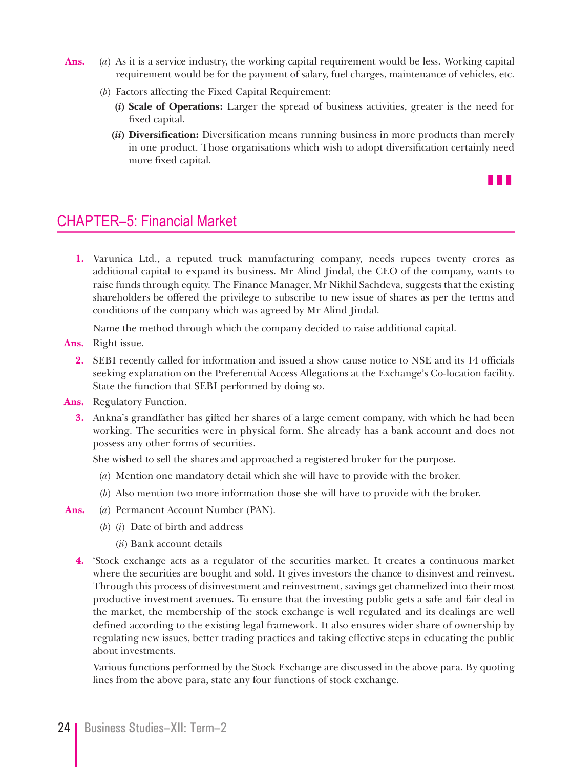- **Ans.** (*a*) As it is a service industry, the working capital requirement would be less. Working capital requirement would be for the payment of salary, fuel charges, maintenance of vehicles, etc.
	- (*b*) Factors affecting the Fixed Capital Requirement:
		- **(***i***) Scale of Operations:** Larger the spread of business activities, greater is the need for fixed capital.
		- **(***ii***) Diversification:** Diversification means running business in more products than merely in one product. Those organisations which wish to adopt diversification certainly need more fixed capital.

z z z

# CHAPTER–5: Financial Market

**1.** Varunica Ltd., a reputed truck manufacturing company, needs rupees twenty crores as additional capital to expand its business. Mr Alind Jindal, the CEO of the company, wants to raise funds through equity. The Finance Manager, Mr Nikhil Sachdeva, suggests that the existing shareholders be offered the privilege to subscribe to new issue of shares as per the terms and conditions of the company which was agreed by Mr Alind Jindal.

Name the method through which the company decided to raise additional capital.

**Ans.** Right issue.

- **2.** SEBI recently called for information and issued a show cause notice to NSE and its 14 officials seeking explanation on the Preferential Access Allegations at the Exchange's Co-location facility. State the function that SEBI performed by doing so.
- **Ans.** Regulatory Function.
	- **3.** Ankna's grandfather has gifted her shares of a large cement company, with which he had been working. The securities were in physical form. She already has a bank account and does not possess any other forms of securities.

She wished to sell the shares and approached a registered broker for the purpose.

- (*a*) Mention one mandatory detail which she will have to provide with the broker.
- (*b*) Also mention two more information those she will have to provide with the broker.
- **Ans.** (*a*) Permanent Account Number (PAN).
	- (*b*) (*i*) Date of birth and address
		- (*ii*) Bank account details
	- **4.** 'Stock exchange acts as a regulator of the securities market. It creates a continuous market where the securities are bought and sold. It gives investors the chance to disinvest and reinvest. Through this process of disinvestment and reinvestment, savings get channelized into their most productive investment avenues. To ensure that the investing public gets a safe and fair deal in the market, the membership of the stock exchange is well regulated and its dealings are well defined according to the existing legal framework. It also ensures wider share of ownership by regulating new issues, better trading practices and taking effective steps in educating the public about investments.

 Various functions performed by the Stock Exchange are discussed in the above para. By quoting lines from the above para, state any four functions of stock exchange.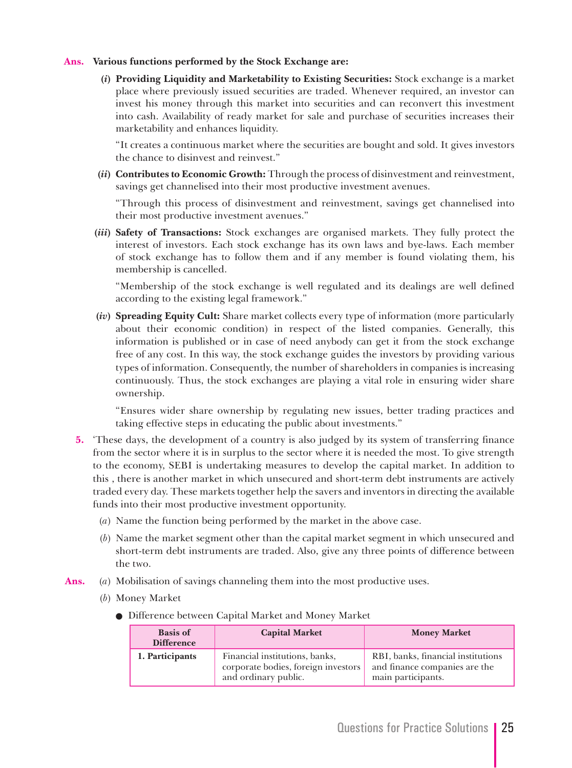## **Ans. Various functions performed by the Stock Exchange are:**

 **(***i***) Providing Liquidity and Marketability to Existing Securities:** Stock exchange is a market place where previously issued securities are traded. Whenever required, an investor can invest his money through this market into securities and can reconvert this investment into cash. Availability of ready market for sale and purchase of securities increases their marketability and enhances liquidity.

 "It creates a continuous market where the securities are bought and sold. It gives investors the chance to disinvest and reinvest."

**(***ii***) Contributes to Economic Growth:** Through the process of disinvestment and reinvestment, savings get channelised into their most productive investment avenues.

 "Through this process of disinvestment and reinvestment, savings get channelised into their most productive investment avenues."

 **(***iii***) Safety of Transactions:** Stock exchanges are organised markets. They fully protect the interest of investors. Each stock exchange has its own laws and bye-laws. Each member of stock exchange has to follow them and if any member is found violating them, his membership is cancelled.

 "Membership of the stock exchange is well regulated and its dealings are well defined according to the existing legal framework."

**(***iv***) Spreading Equity Cult:** Share market collects every type of information (more particularly about their economic condition) in respect of the listed companies. Generally, this information is published or in case of need anybody can get it from the stock exchange free of any cost. In this way, the stock exchange guides the investors by providing various types of information. Consequently, the number of shareholders in companies is increasing continuously. Thus, the stock exchanges are playing a vital role in ensuring wider share ownership.

 "Ensures wider share ownership by regulating new issues, better trading practices and taking effective steps in educating the public about investments."

- **5.** 'These days, the development of a country is also judged by its system of transferring finance from the sector where it is in surplus to the sector where it is needed the most. To give strength to the economy, SEBI is undertaking measures to develop the capital market. In addition to this , there is another market in which unsecured and short-term debt instruments are actively traded every day. These markets together help the savers and inventors in directing the available funds into their most productive investment opportunity.
	- (*a*) Name the function being performed by the market in the above case.
	- (*b*) Name the market segment other than the capital market segment in which unsecured and short-term debt instruments are traded. Also, give any three points of difference between the two.
- **Ans.** (*a*) Mobilisation of savings channeling them into the most productive uses.
	- (*b*) Money Market
		- Difference between Capital Market and Money Market

| <b>Basis of</b><br><b>Difference</b> | <b>Capital Market</b>                                                                         | <b>Money Market</b>                                                                       |
|--------------------------------------|-----------------------------------------------------------------------------------------------|-------------------------------------------------------------------------------------------|
| 1. Participants                      | Financial institutions, banks,<br>corporate bodies, foreign investors<br>and ordinary public. | RBI, banks, financial institutions<br>and finance companies are the<br>main participants. |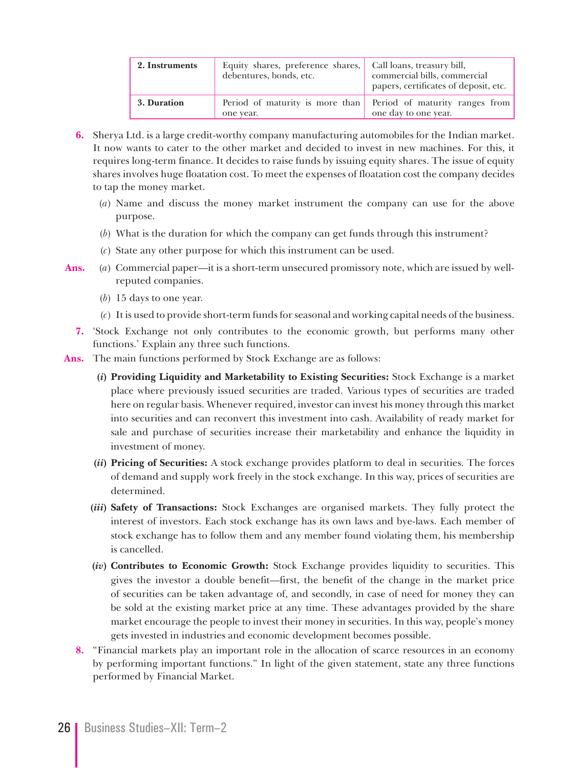| 2. Instruments | Equity shares, preference shares, Call loans, treasury bill,<br>debentures, bonds, etc. | commercial bills, commercial<br>papers, certificates of deposit, etc.                  |
|----------------|-----------------------------------------------------------------------------------------|----------------------------------------------------------------------------------------|
| 3. Duration    | one year.                                                                               | Period of maturity is more than Period of maturity ranges from<br>one day to one year. |

- **6.** Sherya Ltd. is a large credit-worthy company manufacturing automobiles for the Indian market. It now wants to cater to the other market and decided to invest in new machines. For this, it requires long-term finance. It decides to raise funds by issuing equity shares. The issue of equity shares involves huge floatation cost. To meet the expenses of floatation cost the company decides to tap the money market.
	- (*a*) Name and discuss the money market instrument the company can use for the above purpose.
	- (*b*) What is the duration for which the company can get funds through this instrument?
	- (*c*) State any other purpose for which this instrument can be used.
- **Ans.** (*a*) Commercial paper—it is a short-term unsecured promissory note, which are issued by wellreputed companies.
	- (*b*) 15 days to one year.
	- (*c*) It is used to provide short-term funds for seasonal and working capital needs of the business.
	- **7.** 'Stock Exchange not only contributes to the economic growth, but performs many other functions.' Explain any three such functions.
- **Ans.** The main functions performed by Stock Exchange are as follows:
	- **(***i***) Providing Liquidity and Marketability to Existing Securities:** Stock Exchange is a market place where previously issued securities are traded. Various types of securities are traded here on regular basis. Whenever required, investor can invest his money through this market into securities and can reconvert this investment into cash. Availability of ready market for sale and purchase of securities increase their marketability and enhance the liquidity in investment of money.
	- **(***ii***) Pricing of Securities:** A stock exchange provides platform to deal in securities. The forces of demand and supply work freely in the stock exchange. In this way, prices of securities are determined.
	- **(***iii***) Safety of Transactions:** Stock Exchanges are organised markets. They fully protect the interest of investors. Each stock exchange has its own laws and bye-laws. Each member of stock exchange has to follow them and any member found violating them, his membership is cancelled.
	- **(***iv***) Contributes to Economic Growth:** Stock Exchange provides liquidity to securities. This gives the investor a double benefit—first, the benefit of the change in the market price of securities can be taken advantage of, and secondly, in case of need for money they can be sold at the existing market price at any time. These advantages provided by the share market encourage the people to invest their money in securities. In this way, people's money gets invested in industries and economic development becomes possible.
	- **8.** "Financial markets play an important role in the allocation of scarce resources in an economy by performing important functions." In light of the given statement, state any three functions performed by Financial Market.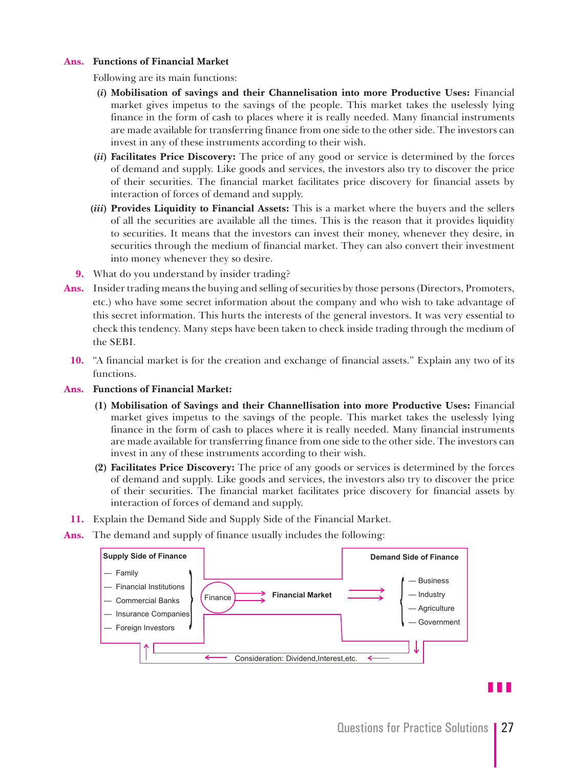## **Ans. Functions of Financial Market**

Following are its main functions:

- **(***i***) Mobilisation of savings and their Channelisation into more Productive Uses:** Financial market gives impetus to the savings of the people. This market takes the uselessly lying finance in the form of cash to places where it is really needed. Many financial instruments are made available for transferring finance from one side to the other side. The investors can invest in any of these instruments according to their wish.
- **(***ii***) Facilitates Price Discovery:** The price of any good or service is determined by the forces of demand and supply. Like goods and services, the investors also try to discover the price of their securities. The financial market facilitates price discovery for financial assets by interaction of forces of demand and supply.
- **(***iii***) Provides Liquidity to Financial Assets:** This is a market where the buyers and the sellers of all the securities are available all the times. This is the reason that it provides liquidity to securities. It means that the investors can invest their money, whenever they desire, in securities through the medium of financial market. They can also convert their investment into money whenever they so desire.
- **9.** What do you understand by insider trading?
- **Ans.** Insider trading means the buying and selling of securities by those persons (Directors, Promoters, etc.) who have some secret information about the company and who wish to take advantage of this secret information. This hurts the interests of the general investors. It was very essential to check this tendency. Many steps have been taken to check inside trading through the medium of the SEBI.
	- **10.** "A financial market is for the creation and exchange of financial assets." Explain any two of its functions.
- **Ans. Functions of Financial Market:**
	- **(1) Mobilisation of Savings and their Channellisation into more Productive Uses:** Financial market gives impetus to the savings of the people. This market takes the uselessly lying finance in the form of cash to places where it is really needed. Many financial instruments are made available for transferring finance from one side to the other side. The investors can invest in any of these instruments according to their wish.
	- **(2) Facilitates Price Discovery:** The price of any goods or services is determined by the forces of demand and supply. Like goods and services, the investors also try to discover the price of their securities. The financial market facilitates price discovery for financial assets by interaction of forces of demand and supply.
- **11.** Explain the Demand Side and Supply Side of the Financial Market.
- **Ans.** The demand and supply of finance usually includes the following:



z z z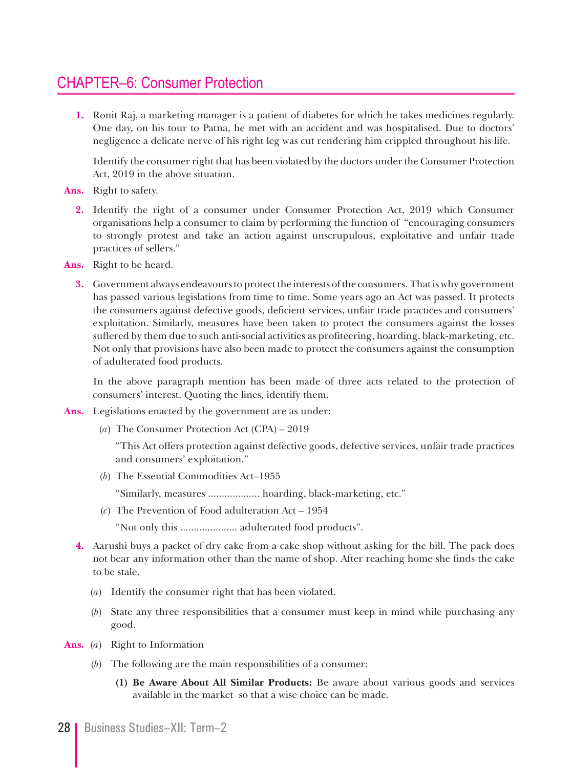# CHAPTER–6: Consumer Protection

**1.** Ronit Raj, a marketing manager is a patient of diabetes for which he takes medicines regularly. One day, on his tour to Patna, he met with an accident and was hospitalised. Due to doctors' negligence a delicate nerve of his right leg was cut rendering him crippled throughout his life.

 Identify the consumer right that has been violated by the doctors under the Consumer Protection Act, 2019 in the above situation.

- **Ans.** Right to safety.
	- **2.** Identify the right of a consumer under Consumer Protection Act, 2019 which Consumer organisations help a consumer to claim by performing the function of "encouraging consumers to strongly protest and take an action against unscrupulous, exploitative and unfair trade practices of sellers."
- **Ans.** Right to be heard.
	- **3.** Government always endeavours to protect the interests of the consumers. That is why government has passed various legislations from time to time. Some years ago an Act was passed. It protects the consumers against defective goods, deficient services, unfair trade practices and consumers' exploitation. Similarly, measures have been taken to protect the consumers against the losses suffered by them due to such anti-social activities as profiteering, hoarding, black-marketing, etc. Not only that provisions have also been made to protect the consumers against the consumption of adulterated food products.

 In the above paragraph mention has been made of three acts related to the protection of consumers' interest. Quoting the lines, identify them.

- **Ans.** Legislations enacted by the government are as under:
	- (*a*) The Consumer Protection Act (CPA) 2019

 "This Act offers protection against defective goods, defective services, unfair trade practices and consumers' exploitation."

(*b*) The Essential Commodities Act–1955

"Similarly, measures ................... hoarding, black-marketing, etc."

(*c*) The Prevention of Food adulteration Act – 1954

"Not only this ..................... adulterated food products".

- **4.** Aarushi buys a packet of dry cake from a cake shop without asking for the bill. The pack does not bear any information other than the name of shop. After reaching home she finds the cake to be stale.
	- (*a*) Identify the consumer right that has been violated.
	- (*b*) State any three responsibilities that a consumer must keep in mind while purchasing any good.
- **Ans.** (*a*) Right to Information
	- (*b*) The following are the main responsibilities of a consumer:
		- **(1) Be Aware About All Similar Products:** Be aware about various goods and services available in the market so that a wise choice can be made.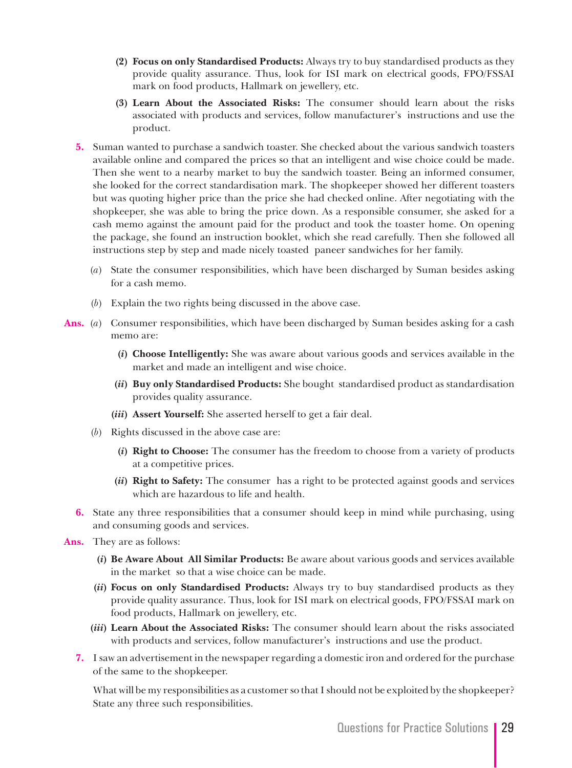- **(2) Focus on only Standardised Products:** Always try to buy standardised products as they provide quality assurance. Thus, look for ISI mark on electrical goods, FPO/FSSAI mark on food products, Hallmark on jewellery, etc.
- **(3) Learn About the Associated Risks:** The consumer should learn about the risks associated with products and services, follow manufacturer's instructions and use the product.
- **5.** Suman wanted to purchase a sandwich toaster. She checked about the various sandwich toasters available online and compared the prices so that an intelligent and wise choice could be made. Then she went to a nearby market to buy the sandwich toaster. Being an informed consumer, she looked for the correct standardisation mark. The shopkeeper showed her different toasters but was quoting higher price than the price she had checked online. After negotiating with the shopkeeper, she was able to bring the price down. As a responsible consumer, she asked for a cash memo against the amount paid for the product and took the toaster home. On opening the package, she found an instruction booklet, which she read carefully. Then she followed all instructions step by step and made nicely toasted paneer sandwiches for her family.
	- (*a*) State the consumer responsibilities, which have been discharged by Suman besides asking for a cash memo.
	- (*b*) Explain the two rights being discussed in the above case.
- **Ans.** (*a*) Consumer responsibilities, which have been discharged by Suman besides asking for a cash memo are:
	- **(***i***) Choose Intelligently:** She was aware about various goods and services available in the market and made an intelligent and wise choice.
	- **(***ii***) Buy only Standardised Products:** She bought standardised product as standardisation provides quality assurance.
	- **(***iii***) Assert Yourself:** She asserted herself to get a fair deal.
	- (*b*) Rights discussed in the above case are:
		- **(***i***) Right to Choose:** The consumer has the freedom to choose from a variety of products at a competitive prices.
		- **(***ii***) Right to Safety:** The consumer has a right to be protected against goods and services which are hazardous to life and health.
	- **6.** State any three responsibilities that a consumer should keep in mind while purchasing, using and consuming goods and services.
- **Ans.** They are as follows:
	- **(***i***) Be Aware About All Similar Products:** Be aware about various goods and services available in the market so that a wise choice can be made.
	- **(***ii***) Focus on only Standardised Products:** Always try to buy standardised products as they provide quality assurance. Thus, look for ISI mark on electrical goods, FPO/FSSAI mark on food products, Hallmark on jewellery, etc.
	- **(***iii***) Learn About the Associated Risks:** The consumer should learn about the risks associated with products and services, follow manufacturer's instructions and use the product.
	- **7.** I saw an advertisement in the newspaper regarding a domestic iron and ordered for the purchase of the same to the shopkeeper.

 What will be my responsibilities as a customer so that I should not be exploited by the shopkeeper? State any three such responsibilities.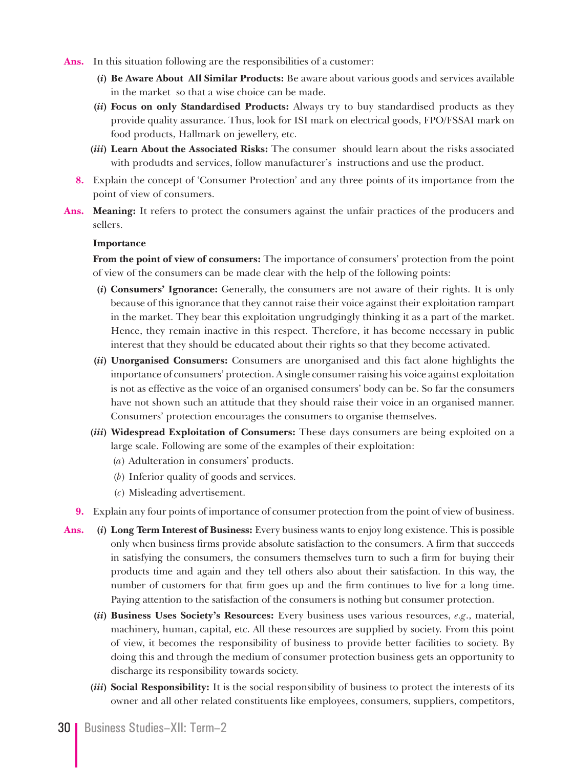- Ans. In this situation following are the responsibilities of a customer:
	- **(***i***) Be Aware About All Similar Products:** Be aware about various goods and services available in the market so that a wise choice can be made.
	- **(***ii***) Focus on only Standardised Products:** Always try to buy standardised products as they provide quality assurance. Thus, look for ISI mark on electrical goods, FPO/FSSAI mark on food products, Hallmark on jewellery, etc.
	- **(***iii***) Learn About the Associated Risks:** The consumer should learn about the risks associated with produdts and services, follow manufacturer's instructions and use the product.
	- **8.** Explain the concept of 'Consumer Protection' and any three points of its importance from the point of view of consumers.
- **Ans. Meaning:** It refers to protect the consumers against the unfair practices of the producers and sellers.

#### **Importance**

 **From the point of view of consumers:** The importance of consumers' protection from the point of view of the consumers can be made clear with the help of the following points:

- **(***i***) Consumers' Ignorance:** Generally, the consumers are not aware of their rights. It is only because of this ignorance that they cannot raise their voice against their exploitation rampart in the market. They bear this exploitation ungrudgingly thinking it as a part of the market. Hence, they remain inactive in this respect. Therefore, it has become necessary in public interest that they should be educated about their rights so that they become activated.
- **(***ii***) Unorganised Consumers:** Consumers are unorganised and this fact alone highlights the importance of consumers' protection. A single consumer raising his voice against exploitation is not as effective as the voice of an organised consumers' body can be. So far the consumers have not shown such an attitude that they should raise their voice in an organised manner. Consumers' protection encourages the consumers to organise themselves.
- **(***iii***) Widespread Exploitation of Consumers:** These days consumers are being exploited on a large scale. Following are some of the examples of their exploitation:
	- (*a*) Adulteration in consumers' products.
	- (*b*) Inferior quality of goods and services.
	- (*c*) Misleading advertisement.
- **9.** Explain any four points of importance of consumer protection from the point of view of business.
- **Ans. (***i***) Long Term Interest of Business:** Every business wants to enjoy long existence. This is possible only when business firms provide absolute satisfaction to the consumers. A firm that succeeds in satisfying the consumers, the consumers themselves turn to such a firm for buying their products time and again and they tell others also about their satisfaction. In this way, the number of customers for that firm goes up and the firm continues to live for a long time. Paying attention to the satisfaction of the consumers is nothing but consumer protection.
	- **(***ii***) Business Uses Society's Resources:** Every business uses various resources, *e.g*., material, machinery, human, capital, etc. All these resources are supplied by society. From this point of view, it becomes the responsibility of business to provide better facilities to society. By doing this and through the medium of consumer protection business gets an opportunity to discharge its responsibility towards society.
	- **(***iii***) Social Responsibility:** It is the social responsibility of business to protect the interests of its owner and all other related constituents like employees, consumers, suppliers, competitors,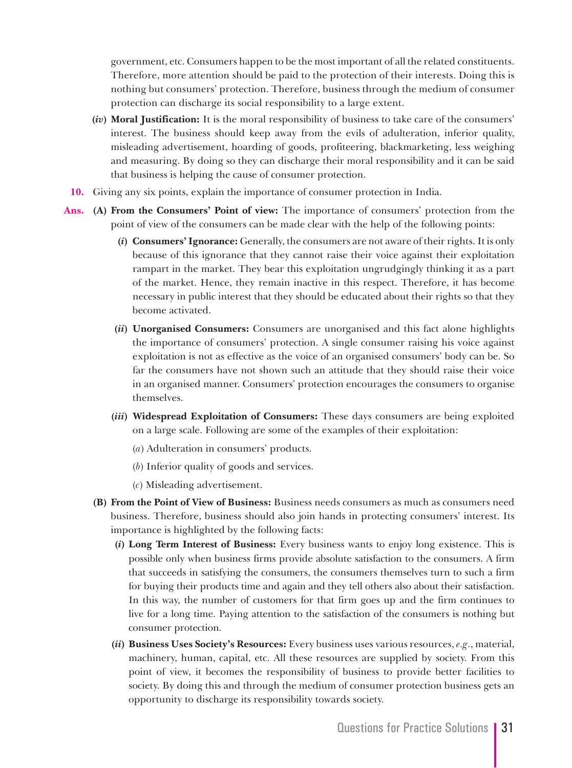government, etc. Consumers happen to be the most important of all the related constituents. Therefore, more attention should be paid to the protection of their interests. Doing this is nothing but consumers' protection. Therefore, business through the medium of consumer protection can discharge its social responsibility to a large extent.

- **(***iv***) Moral Justification:** It is the moral responsibility of business to take care of the consumers' interest. The business should keep away from the evils of adulteration, inferior quality, misleading advertisement, hoarding of goods, profiteering, blackmarketing, less weighing and measuring. By doing so they can discharge their moral responsibility and it can be said that business is helping the cause of consumer protection.
- **10.** Giving any six points, explain the importance of consumer protection in India.
- **Ans. (A) From the Consumers' Point of view:** The importance of consumers' protection from the point of view of the consumers can be made clear with the help of the following points:
	- **(***i***) Consumers' Ignorance:** Generally, the consumers are not aware of their rights. It is only because of this ignorance that they cannot raise their voice against their exploitation rampart in the market. They bear this exploitation ungrudgingly thinking it as a part of the market. Hence, they remain inactive in this respect. Therefore, it has become necessary in public interest that they should be educated about their rights so that they become activated.
	- **(***ii***) Unorganised Consumers:** Consumers are unorganised and this fact alone highlights the importance of consumers' protection. A single consumer raising his voice against exploitation is not as effective as the voice of an organised consumers' body can be. So far the consumers have not shown such an attitude that they should raise their voice in an organised manner. Consumers' protection encourages the consumers to organise themselves.
	- **(***iii***) Widespread Exploitation of Consumers:** These days consumers are being exploited on a large scale. Following are some of the examples of their exploitation:
		- (*a*) Adulteration in consumers' products.
		- (*b*) Inferior quality of goods and services.
		- (*c*) Misleading advertisement.
	- **(B) From the Point of View of Business:** Business needs consumers as much as consumers need business. Therefore, business should also join hands in protecting consumers' interest. Its importance is highlighted by the following facts:
		- **(***i***) Long Term Interest of Business:** Every business wants to enjoy long existence. This is possible only when business firms provide absolute satisfaction to the consumers. A firm that succeeds in satisfying the consumers, the consumers themselves turn to such a firm for buying their products time and again and they tell others also about their satisfaction. In this way, the number of customers for that firm goes up and the firm continues to live for a long time. Paying attention to the satisfaction of the consumers is nothing but consumer protection.
		- **(***ii***) Business Uses Society's Resources:** Every business uses various resources, *e.g*., material, machinery, human, capital, etc. All these resources are supplied by society. From this point of view, it becomes the responsibility of business to provide better facilities to society. By doing this and through the medium of consumer protection business gets an opportunity to discharge its responsibility towards society.